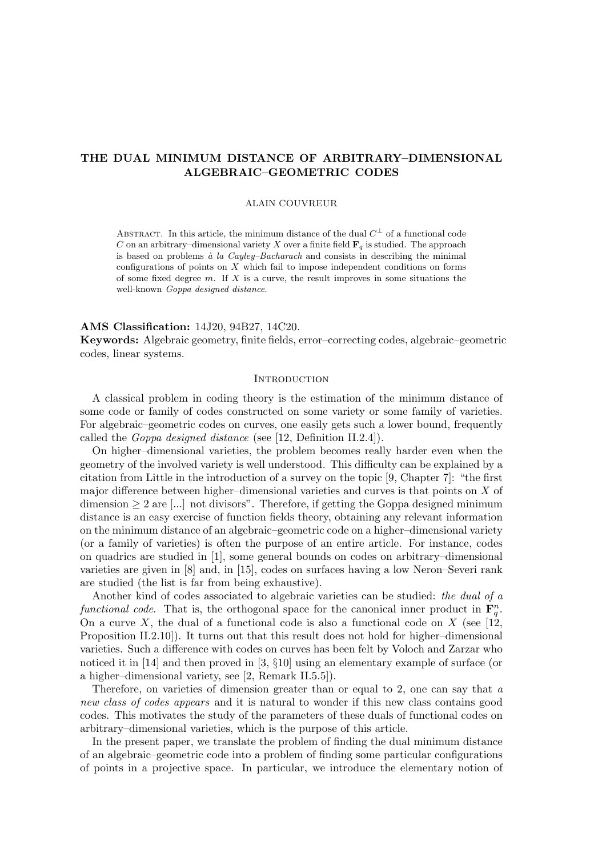# THE DUAL MINIMUM DISTANCE OF ARBITRARY–DIMENSIONAL ALGEBRAIC–GEOMETRIC CODES

### ALAIN COUVREUR

ABSTRACT. In this article, the minimum distance of the dual  $C^{\perp}$  of a functional code C on an arbitrary–dimensional variety X over a finite field  $\mathbf{F}_q$  is studied. The approach is based on problems  $\dot{a}$  la Cayley–Bacharach and consists in describing the minimal configurations of points on X which fail to impose independent conditions on forms of some fixed degree  $m$ . If  $X$  is a curve, the result improves in some situations the well-known Goppa designed distance.

### AMS Classification: 14J20, 94B27, 14C20.

Keywords: Algebraic geometry, finite fields, error–correcting codes, algebraic–geometric codes, linear systems.

### **INTRODUCTION**

A classical problem in coding theory is the estimation of the minimum distance of some code or family of codes constructed on some variety or some family of varieties. For algebraic–geometric codes on curves, one easily gets such a lower bound, frequently called the Goppa designed distance (see [12, Definition II.2.4]).

On higher–dimensional varieties, the problem becomes really harder even when the geometry of the involved variety is well understood. This difficulty can be explained by a citation from Little in the introduction of a survey on the topic [9, Chapter 7]: "the first major difference between higher–dimensional varieties and curves is that points on  $X$  of dimension  $\geq 2$  are [...] not divisors". Therefore, if getting the Goppa designed minimum distance is an easy exercise of function fields theory, obtaining any relevant information on the minimum distance of an algebraic–geometric code on a higher–dimensional variety (or a family of varieties) is often the purpose of an entire article. For instance, codes on quadrics are studied in [1], some general bounds on codes on arbitrary–dimensional varieties are given in [8] and, in [15], codes on surfaces having a low Neron–Severi rank are studied (the list is far from being exhaustive).

Another kind of codes associated to algebraic varieties can be studied: the dual of a functional code. That is, the orthogonal space for the canonical inner product in  $\mathbf{F}_q^n$ . On a curve X, the dual of a functional code is also a functional code on  $X$  (see [12, Proposition II.2.10]). It turns out that this result does not hold for higher–dimensional varieties. Such a difference with codes on curves has been felt by Voloch and Zarzar who noticed it in [14] and then proved in [3, §10] using an elementary example of surface (or a higher–dimensional variety, see [2, Remark II.5.5]).

Therefore, on varieties of dimension greater than or equal to 2, one can say that  $a$ new class of codes appears and it is natural to wonder if this new class contains good codes. This motivates the study of the parameters of these duals of functional codes on arbitrary–dimensional varieties, which is the purpose of this article.

In the present paper, we translate the problem of finding the dual minimum distance of an algebraic–geometric code into a problem of finding some particular configurations of points in a projective space. In particular, we introduce the elementary notion of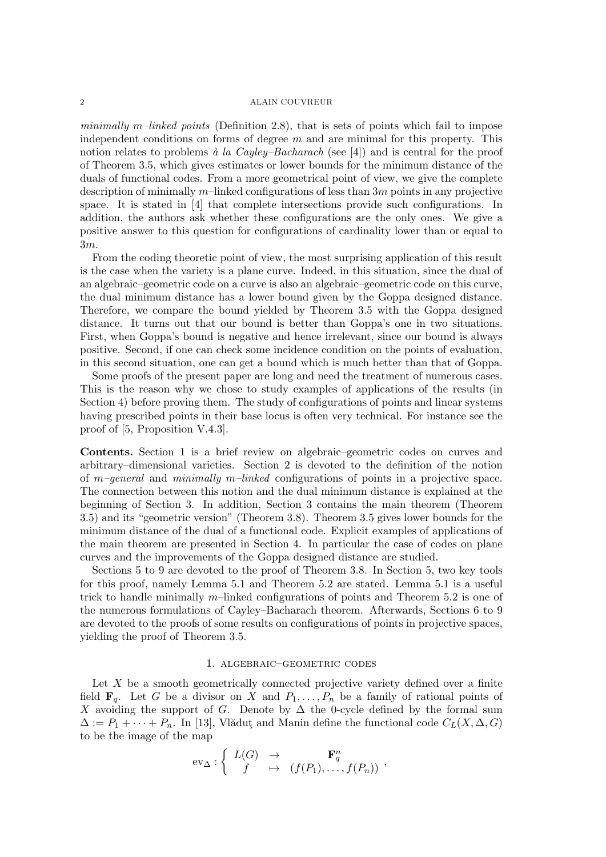minimally m–linked points (Definition 2.8), that is sets of points which fail to impose independent conditions on forms of degree  $m$  and are minimal for this property. This notion relates to problems  $\dot{a}$  la Cayley–Bacharach (see [4]) and is central for the proof of Theorem 3.5, which gives estimates or lower bounds for the minimum distance of the duals of functional codes. From a more geometrical point of view, we give the complete description of minimally  $m$ –linked configurations of less than  $3m$  points in any projective space. It is stated in [4] that complete intersections provide such configurations. In addition, the authors ask whether these configurations are the only ones. We give a positive answer to this question for configurations of cardinality lower than or equal to 3m.

From the coding theoretic point of view, the most surprising application of this result is the case when the variety is a plane curve. Indeed, in this situation, since the dual of an algebraic–geometric code on a curve is also an algebraic–geometric code on this curve, the dual minimum distance has a lower bound given by the Goppa designed distance. Therefore, we compare the bound yielded by Theorem 3.5 with the Goppa designed distance. It turns out that our bound is better than Goppa's one in two situations. First, when Goppa's bound is negative and hence irrelevant, since our bound is always positive. Second, if one can check some incidence condition on the points of evaluation, in this second situation, one can get a bound which is much better than that of Goppa.

Some proofs of the present paper are long and need the treatment of numerous cases. This is the reason why we chose to study examples of applications of the results (in Section 4) before proving them. The study of configurations of points and linear systems having prescribed points in their base locus is often very technical. For instance see the proof of [5, Proposition V.4.3].

Contents. Section 1 is a brief review on algebraic–geometric codes on curves and arbitrary–dimensional varieties. Section 2 is devoted to the definition of the notion of  $m$ –general and minimally m–linked configurations of points in a projective space. The connection between this notion and the dual minimum distance is explained at the beginning of Section 3. In addition, Section 3 contains the main theorem (Theorem 3.5) and its "geometric version" (Theorem 3.8). Theorem 3.5 gives lower bounds for the minimum distance of the dual of a functional code. Explicit examples of applications of the main theorem are presented in Section 4. In particular the case of codes on plane curves and the improvements of the Goppa designed distance are studied.

Sections 5 to 9 are devoted to the proof of Theorem 3.8. In Section 5, two key tools for this proof, namely Lemma 5.1 and Theorem 5.2 are stated. Lemma 5.1 is a useful trick to handle minimally  $m$ –linked configurations of points and Theorem 5.2 is one of the numerous formulations of Cayley–Bacharach theorem. Afterwards, Sections 6 to 9 are devoted to the proofs of some results on configurations of points in projective spaces, yielding the proof of Theorem 3.5.

# 1. algebraic–geometric codes

Let  $X$  be a smooth geometrically connected projective variety defined over a finite field  $\mathbf{F}_q$ . Let G be a divisor on X and  $P_1, \ldots, P_n$  be a family of rational points of X avoiding the support of G. Denote by  $\Delta$  the 0-cycle defined by the formal sum  $\Delta := P_1 + \cdots + P_n$ . In [13], Vlăduț and Manin define the functional code  $C_L(X, \Delta, G)$ to be the image of the map

$$
\mathrm{ev}_{\Delta} : \left\{ \begin{array}{ccc} L(G) & \to & \mathbf{F}_q^n \\ f & \mapsto & (f(P_1), \dots, f(P_n)) \end{array} \right.,
$$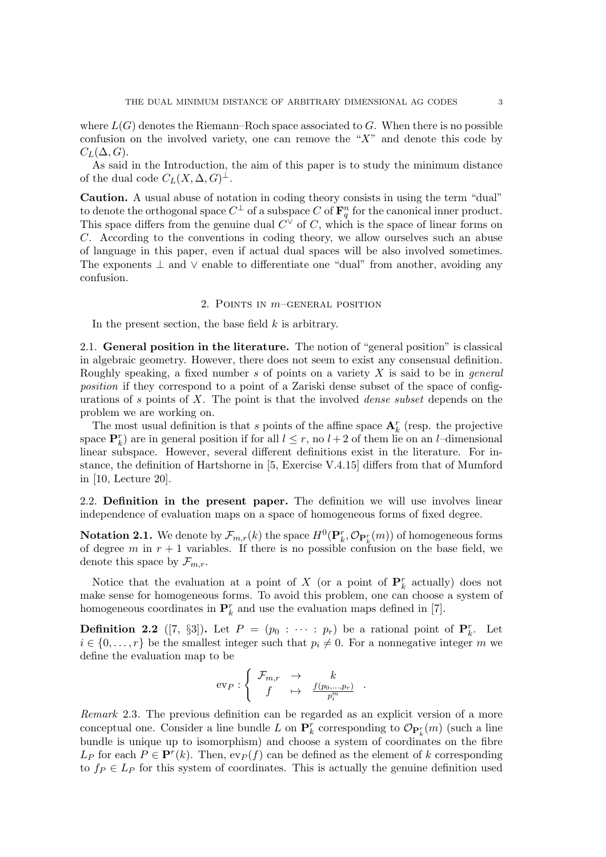where  $L(G)$  denotes the Riemann–Roch space associated to G. When there is no possible confusion on the involved variety, one can remove the " $X$ " and denote this code by  $C_L(\Delta, G)$ .

As said in the Introduction, the aim of this paper is to study the minimum distance of the dual code  $C_L(X, \Delta, G)^{\perp}$ .

Caution. A usual abuse of notation in coding theory consists in using the term "dual" to denote the orthogonal space  $C^{\perp}$  of a subspace  $C$  of  $\mathbf{F}_q^n$  for the canonical inner product. This space differs from the genuine dual  $C^{\vee}$  of C, which is the space of linear forms on C. According to the conventions in coding theory, we allow ourselves such an abuse of language in this paper, even if actual dual spaces will be also involved sometimes. The exponents  $\perp$  and  $\vee$  enable to differentiate one "dual" from another, avoiding any confusion.

### 2. POINTS IN  $m$ –GENERAL POSITION

In the present section, the base field  $k$  is arbitrary.

2.1. General position in the literature. The notion of "general position" is classical in algebraic geometry. However, there does not seem to exist any consensual definition. Roughly speaking, a fixed number s of points on a variety  $X$  is said to be in *general* position if they correspond to a point of a Zariski dense subset of the space of configurations of s points of X. The point is that the involved *dense subset* depends on the problem we are working on.

The most usual definition is that s points of the affine space  $\mathbf{A}^r_k$  (resp. the projective space  $\mathbf{P}_k^r$ ) are in general position if for all  $l \leq r$ , no  $l+2$  of them lie on an *l*-dimensional linear subspace. However, several different definitions exist in the literature. For instance, the definition of Hartshorne in [5, Exercise V.4.15] differs from that of Mumford in [10, Lecture 20].

2.2. Definition in the present paper. The definition we will use involves linear independence of evaluation maps on a space of homogeneous forms of fixed degree.

**Notation 2.1.** We denote by  $\mathcal{F}_{m,r}(k)$  the space  $H^0(\mathbf{P}_k^r, \mathcal{O}_{\mathbf{P}_k^r}(m))$  of homogeneous forms of degree m in  $r + 1$  variables. If there is no possible confusion on the base field, we denote this space by  $\mathcal{F}_{m,r}$ .

Notice that the evaluation at a point of X (or a point of  $\mathbf{P}_k^r$  actually) does not make sense for homogeneous forms. To avoid this problem, one can choose a system of homogeneous coordinates in  $\mathbf{P}_k^r$  and use the evaluation maps defined in [7].

**Definition 2.2** ([7, §3]). Let  $P = (p_0 : \cdots : p_r)$  be a rational point of  $\mathbf{P}_k^r$ . Let  $i \in \{0, \ldots, r\}$  be the smallest integer such that  $p_i \neq 0$ . For a nonnegative integer m we define the evaluation map to be

$$
ev_P: \left\{ \begin{array}{ccc} \mathcal{F}_{m,r} & \to & k \\ f & \mapsto & \frac{f(p_0,\ldots,p_r)}{p_i^m} \end{array} \right. .
$$

Remark 2.3. The previous definition can be regarded as an explicit version of a more conceptual one. Consider a line bundle L on  $\mathbf{P}_k^r$  corresponding to  $\mathcal{O}_{\mathbf{P}_k^r}(m)$  (such a line bundle is unique up to isomorphism) and choose a system of coordinates on the fibre  $L_P$  for each  $P \in \mathbf{P}^r(k)$ . Then,  $ev_P(f)$  can be defined as the element of k corresponding to  $f_P \in L_P$  for this system of coordinates. This is actually the genuine definition used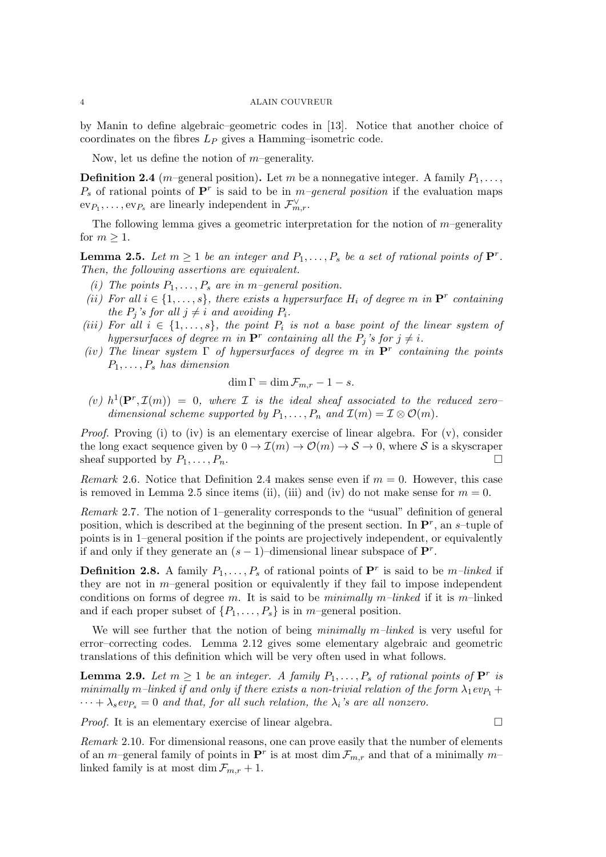by Manin to define algebraic–geometric codes in [13]. Notice that another choice of coordinates on the fibres  $L_P$  gives a Hamming–isometric code.

Now, let us define the notion of  $m$ –generality.

**Definition 2.4** (*m*–general position). Let *m* be a nonnegative integer. A family  $P_1, \ldots,$  $P_s$  of rational points of  $\mathbf{P}^r$  is said to be in m-general position if the evaluation maps  $ev_{P_1}, \ldots, ev_{P_s}$  are linearly independent in  $\mathcal{F}_{m,r}^{\vee}$ .

The following lemma gives a geometric interpretation for the notion of  $m$ –generality for  $m \geq 1$ .

**Lemma 2.5.** Let  $m \geq 1$  be an integer and  $P_1, \ldots, P_s$  be a set of rational points of  $\mathbf{P}^r$ . Then, the following assertions are equivalent.

- (i) The points  $P_1, \ldots, P_s$  are in m-general position.
- (ii) For all  $i \in \{1, \ldots, s\}$ , there exists a hypersurface  $H_i$  of degree m in  $\mathbf{P}^r$  containing the  $P_j$ 's for all  $j \neq i$  and avoiding  $P_i$ .
- (iii) For all  $i \in \{1, \ldots, s\}$ , the point  $P_i$  is not a base point of the linear system of hypersurfaces of degree m in  $\mathbf{P}^r$  containing all the  $P_j$ 's for  $j \neq i$ .
- (iv) The linear system  $\Gamma$  of hypersurfaces of degree m in  $\mathbf{P}^r$  containing the points  $P_1, \ldots, P_s$  has dimension

$$
\dim \Gamma = \dim \mathcal{F}_{m,r} - 1 - s.
$$

(v)  $h^1(\mathbf{P}^r,\mathcal{I}(m)) = 0$ , where *I* is the ideal sheaf associated to the reduced zerodimensional scheme supported by  $P_1, \ldots, P_n$  and  $\mathcal{I}(m) = \mathcal{I} \otimes \mathcal{O}(m)$ .

Proof. Proving (i) to (iv) is an elementary exercise of linear algebra. For (v), consider the long exact sequence given by  $0 \to \mathcal{I}(m) \to \mathcal{O}(m) \to \mathcal{S} \to 0$ , where S is a skyscraper sheaf supported by  $P_1, \ldots, P_n$ .

*Remark* 2.6. Notice that Definition 2.4 makes sense even if  $m = 0$ . However, this case is removed in Lemma 2.5 since items (ii), (iii) and (iv) do not make sense for  $m = 0$ .

Remark 2.7. The notion of 1–generality corresponds to the "usual" definition of general position, which is described at the beginning of the present section. In  $\mathbf{P}^r$ , an s-tuple of points is in 1–general position if the points are projectively independent, or equivalently if and only if they generate an  $(s-1)$ -dimensional linear subspace of  $\mathbf{P}^r$ .

**Definition 2.8.** A family  $P_1, \ldots, P_s$  of rational points of  $\mathbf{P}^r$  is said to be m-linked if they are not in  $m$ –general position or equivalently if they fail to impose independent conditions on forms of degree m. It is said to be minimally m–linked if it is m–linked and if each proper subset of  $\{P_1, \ldots, P_s\}$  is in m–general position.

We will see further that the notion of being minimally  $m$ –linked is very useful for error–correcting codes. Lemma 2.12 gives some elementary algebraic and geometric translations of this definition which will be very often used in what follows.

**Lemma 2.9.** Let  $m \geq 1$  be an integer. A family  $P_1, \ldots, P_s$  of rational points of  $\mathbf{P}^r$  is minimally m–linked if and only if there exists a non-trivial relation of the form  $\lambda_1 ev_{P_1}$  +  $\cdots + \lambda_s e v_{P_s} = 0$  and that, for all such relation, the  $\lambda_i$ 's are all nonzero.

*Proof.* It is an elementary exercise of linear algebra.  $\square$ 

Remark 2.10. For dimensional reasons, one can prove easily that the number of elements of an m-general family of points in  $\mathbf{P}^r$  is at most dim  $\mathcal{F}_{m,r}$  and that of a minimally mlinked family is at most dim  $\mathcal{F}_{m,r} + 1$ .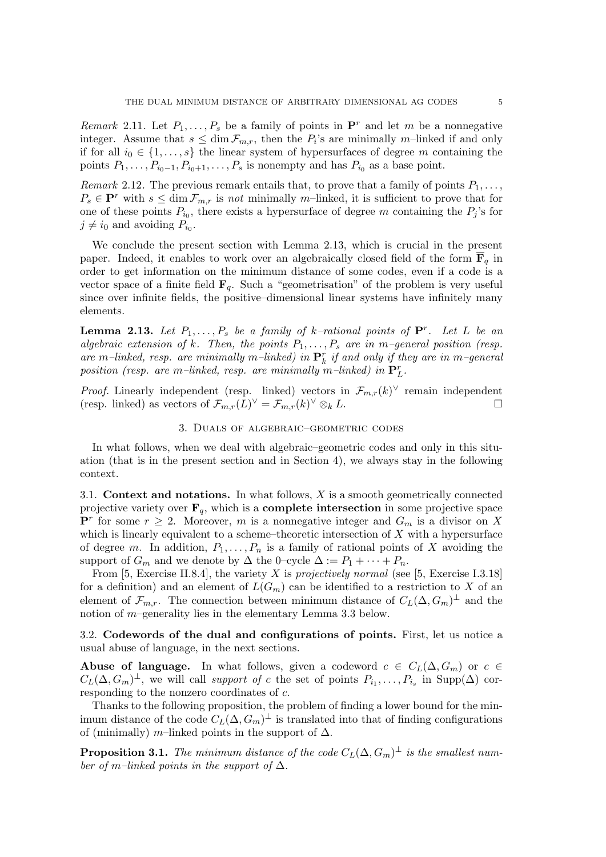Remark 2.11. Let  $P_1, \ldots, P_s$  be a family of points in  $\mathbf{P}^r$  and let m be a nonnegative integer. Assume that  $s \leq \dim \mathcal{F}_{m,r}$ , then the  $P_i$ 's are minimally m-linked if and only if for all  $i_0 \in \{1, \ldots, s\}$  the linear system of hypersurfaces of degree m containing the points  $P_1, \ldots, P_{i_0-1}, P_{i_0+1}, \ldots, P_s$  is nonempty and has  $P_{i_0}$  as a base point.

Remark 2.12. The previous remark entails that, to prove that a family of points  $P_1, \ldots$ ,  $P_s \in \mathbf{P}^r$  with  $s \leq \dim \mathcal{F}_{m,r}$  is not minimally m-linked, it is sufficient to prove that for one of these points  $P_{i_0}$ , there exists a hypersurface of degree m containing the  $P_j$ 's for  $j \neq i_0$  and avoiding  $P_{i_0}$ .

We conclude the present section with Lemma 2.13, which is crucial in the present paper. Indeed, it enables to work over an algebraically closed field of the form  $\mathbf{F}_q$  in order to get information on the minimum distance of some codes, even if a code is a vector space of a finite field  $\mathbf{F}_q$ . Such a "geometrisation" of the problem is very useful since over infinite fields, the positive–dimensional linear systems have infinitely many elements.

**Lemma 2.13.** Let  $P_1, \ldots, P_s$  be a family of k-rational points of  $\mathbf{P}^r$ . Let L be an algebraic extension of k. Then, the points  $P_1, \ldots, P_s$  are in m-general position (resp. are m-linked, resp. are minimally m-linked) in  $\mathbf{P}^r_k$  if and only if they are in m-general position (resp. are m-linked, resp. are minimally m-linked) in  $\mathbf{P}_L^r$ .

*Proof.* Linearly independent (resp. linked) vectors in  $\mathcal{F}_{m,r}(k)^\vee$  remain independent (resp. linked) as vectors of  $\mathcal{F}_{m,r}(L)^{\vee} = \mathcal{F}_{m,r}(k)$  $\vee \otimes_k L$ .

# 3. Duals of algebraic–geometric codes

In what follows, when we deal with algebraic–geometric codes and only in this situation (that is in the present section and in Section 4), we always stay in the following context.

3.1. Context and notations. In what follows,  $X$  is a smooth geometrically connected projective variety over  $\mathbf{F}_q$ , which is a **complete intersection** in some projective space  $\mathbf{P}^r$  for some  $r \geq 2$ . Moreover, m is a nonnegative integer and  $G_m$  is a divisor on X which is linearly equivalent to a scheme–theoretic intersection of  $X$  with a hypersurface of degree m. In addition,  $P_1, \ldots, P_n$  is a family of rational points of X avoiding the support of  $G_m$  and we denote by  $\Delta$  the 0–cycle  $\Delta := P_1 + \cdots + P_n$ .

From [5, Exercise II.8.4], the variety  $X$  is projectively normal (see [5, Exercise I.3.18] for a definition) and an element of  $L(G_m)$  can be identified to a restriction to X of an element of  $\mathcal{F}_{m,r}$ . The connection between minimum distance of  $C_L(\Delta, G_m)^\perp$  and the notion of  $m$ –generality lies in the elementary Lemma 3.3 below.

3.2. Codewords of the dual and configurations of points. First, let us notice a usual abuse of language, in the next sections.

Abuse of language. In what follows, given a codeword  $c \in C_L(\Delta, G_m)$  or  $c \in$  $C_L(\Delta, G_m)^{\perp}$ , we will call support of c the set of points  $P_{i_1}, \ldots, P_{i_s}$  in Supp( $\Delta$ ) corresponding to the nonzero coordinates of c.

Thanks to the following proposition, the problem of finding a lower bound for the minimum distance of the code  $C_L(\Delta, G_m)^{\perp}$  is translated into that of finding configurations of (minimally) m–linked points in the support of  $\Delta$ .

**Proposition 3.1.** The minimum distance of the code  $C_L(\Delta, G_m)^\perp$  is the smallest number of m–linked points in the support of  $\Delta$ .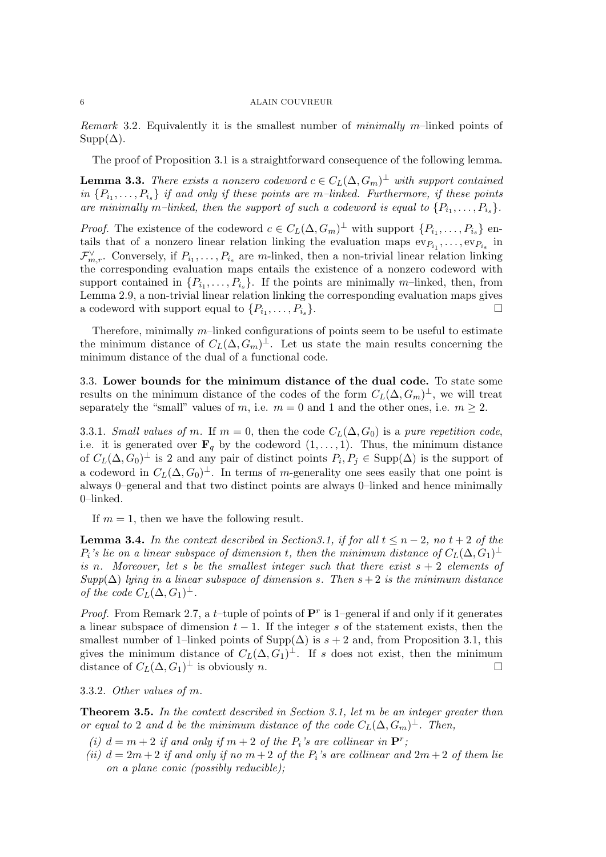Remark 3.2. Equivalently it is the smallest number of minimally m–linked points of  $\text{Supp}(\Delta)$ .

The proof of Proposition 3.1 is a straightforward consequence of the following lemma.

**Lemma 3.3.** There exists a nonzero codeword  $c \in C_L(\Delta, G_m)^{\perp}$  with support contained in  $\{P_{i_1}, \ldots, P_{i_s}\}$  if and only if these points are m-linked. Furthermore, if these points are minimally m-linked, then the support of such a codeword is equal to  $\{P_{i_1}, \ldots, P_{i_s}\}.$ 

*Proof.* The existence of the codeword  $c \in C_L(\Delta, G_m)^{\perp}$  with support  $\{P_{i_1}, \ldots, P_{i_s}\}\$ entails that of a nonzero linear relation linking the evaluation maps  $ev_{P_{i_1}}, \ldots, ev_{P_{i_s}}$  in  $\mathcal{F}_{m,r}^{\vee}$ . Conversely, if  $P_{i_1}, \ldots, P_{i_s}$  are m-linked, then a non-trivial linear relation linking the corresponding evaluation maps entails the existence of a nonzero codeword with support contained in  $\{P_{i_1}, \ldots, P_{i_s}\}$ . If the points are minimally m-linked, then, from Lemma 2.9, a non-trivial linear relation linking the corresponding evaluation maps gives a codeword with support equal to  $\{P_{i_1}, \ldots, P_{i_s}\}.$ 

Therefore, minimally  $m$ -linked configurations of points seem to be useful to estimate the minimum distance of  $C_L(\Delta, G_m)^{\perp}$ . Let us state the main results concerning the minimum distance of the dual of a functional code.

3.3. Lower bounds for the minimum distance of the dual code. To state some results on the minimum distance of the codes of the form  $C_L(\Delta, G_m)^{\perp}$ , we will treat separately the "small" values of m, i.e.  $m = 0$  and 1 and the other ones, i.e.  $m > 2$ .

3.3.1. Small values of m. If  $m = 0$ , then the code  $C_L(\Delta, G_0)$  is a pure repetition code, i.e. it is generated over  $\mathbf{F}_q$  by the codeword  $(1, \ldots, 1)$ . Thus, the minimum distance of  $C_L(\Delta, G_0)^{\perp}$  is 2 and any pair of distinct points  $P_i, P_j \in \text{Supp}(\Delta)$  is the support of a codeword in  $C_L(\Delta, G_0)^{\perp}$ . In terms of m-generality one sees easily that one point is always 0–general and that two distinct points are always 0–linked and hence minimally 0–linked.

If  $m = 1$ , then we have the following result.

**Lemma 3.4.** In the context described in Section 3.1, if for all  $t \leq n-2$ , no  $t+2$  of the  $P_i$ 's lie on a linear subspace of dimension t, then the minimum distance of  $C_L(\Delta, G_1)^\perp$ is n. Moreover, let s be the smallest integer such that there exist  $s + 2$  elements of  $Supp(\Delta)$  lying in a linear subspace of dimension s. Then  $s+2$  is the minimum distance of the code  $C_L(\Delta, G_1)^{\perp}$ .

*Proof.* From Remark 2.7, a *t*-tuple of points of  $\mathbf{P}^r$  is 1-general if and only if it generates a linear subspace of dimension  $t-1$ . If the integer s of the statement exists, then the smallest number of 1–linked points of Supp( $\Delta$ ) is  $s + 2$  and, from Proposition 3.1, this gives the minimum distance of  $C_L(\Delta, \tilde{G_1})^{\perp}$ . If s does not exist, then the minimum distance of  $C_L(\Delta, G_1)^\perp$  is obviously *n*.

3.3.2. Other values of m.

**Theorem 3.5.** In the context described in Section 3.1, let  $m$  be an integer greater than or equal to 2 and d be the minimum distance of the code  $C_L(\Delta, G_m)^\perp$ . Then,

- (i)  $d = m + 2$  if and only if  $m + 2$  of the  $P_i$ 's are collinear in  $\mathbf{P}^r$ ;
- (ii)  $d = 2m + 2$  if and only if no  $m + 2$  of the  $P_i$ 's are collinear and  $2m + 2$  of them lie on a plane conic (possibly reducible);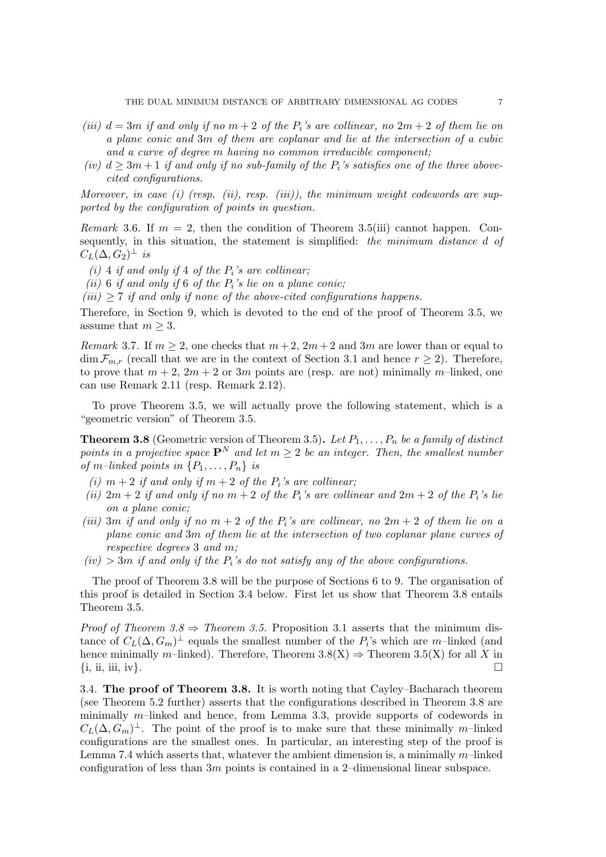- (iii)  $d = 3m$  if and only if no  $m + 2$  of the  $P_i$ 's are collinear, no  $2m + 2$  of them lie on a plane conic and 3m of them are coplanar and lie at the intersection of a cubic and a curve of degree m having no common irreducible component;
- (iv)  $d \geq 3m+1$  if and only if no sub-family of the  $P_i$ 's satisfies one of the three abovecited configurations.

Moreover, in case  $(i)$  (resp.  $(ii)$ , resp.  $(iii)$ ), the minimum weight codewords are supported by the configuration of points in question.

Remark 3.6. If  $m = 2$ , then the condition of Theorem 3.5(iii) cannot happen. Consequently, in this situation, the statement is simplified: the minimum distance d of  $C_{L}(\Delta, \tilde{G_2})^{\perp}$  is

- (i) 4 if and only if 4 of the  $P_i$ 's are collinear;
- (ii) 6 if and only if 6 of the  $P_i$ 's lie on a plane conic;
- $(iii)$  > 7 if and only if none of the above-cited configurations happens.

Therefore, in Section 9, which is devoted to the end of the proof of Theorem 3.5, we assume that  $m \geq 3$ .

Remark 3.7. If  $m \ge 2$ , one checks that  $m+2$ ,  $2m+2$  and  $3m$  are lower than or equal to  $\dim \mathcal{F}_{m,r}$  (recall that we are in the context of Section 3.1 and hence  $r \geq 2$ ). Therefore, to prove that  $m + 2$ ,  $2m + 2$  or  $3m$  points are (resp. are not) minimally m-linked, one can use Remark 2.11 (resp. Remark 2.12).

To prove Theorem 3.5, we will actually prove the following statement, which is a "geometric version" of Theorem 3.5.

**Theorem 3.8** (Geometric version of Theorem 3.5). Let  $P_1, \ldots, P_n$  be a family of distinct points in a projective space  $\mathbf{P}^{N}$  and let  $m \geq 2$  be an integer. Then, the smallest number of m-linked points in  $\{P_1, \ldots, P_n\}$  is

- (i)  $m + 2$  if and only if  $m + 2$  of the  $P_i$ 's are collinear;
- (ii)  $2m + 2$  if and only if no  $m + 2$  of the  $P_i$ 's are collinear and  $2m + 2$  of the  $P_i$ 's lie on a plane conic;
- (iii) 3m if and only if no  $m + 2$  of the  $P_i$ 's are collinear, no  $2m + 2$  of them lie on a plane conic and 3m of them lie at the intersection of two coplanar plane curves of respective degrees 3 and m;
- $(iv)$  > 3m if and only if the  $P_i$ 's do not satisfy any of the above configurations.

The proof of Theorem 3.8 will be the purpose of Sections 6 to 9. The organisation of this proof is detailed in Section 3.4 below. First let us show that Theorem 3.8 entails Theorem 3.5.

*Proof of Theorem 3.8*  $\Rightarrow$  Theorem 3.5. Proposition 3.1 asserts that the minimum distance of  $C_L(\Delta, G_m)^\perp$  equals the smallest number of the  $P_i$ 's which are m-linked (and hence minimally m–linked). Therefore, Theorem  $3.8(X) \Rightarrow$  Theorem  $3.5(X)$  for all X in  $\{i, ii, iii, iv\}.$ 

3.4. The proof of Theorem 3.8. It is worth noting that Cayley–Bacharach theorem (see Theorem 5.2 further) asserts that the configurations described in Theorem 3.8 are minimally m–linked and hence, from Lemma 3.3, provide supports of codewords in  $C_L(\Delta, G_m)^{\perp}$ . The point of the proof is to make sure that these minimally m–linked configurations are the smallest ones. In particular, an interesting step of the proof is Lemma 7.4 which asserts that, whatever the ambient dimension is, a minimally  $m$ –linked configuration of less than 3m points is contained in a 2–dimensional linear subspace.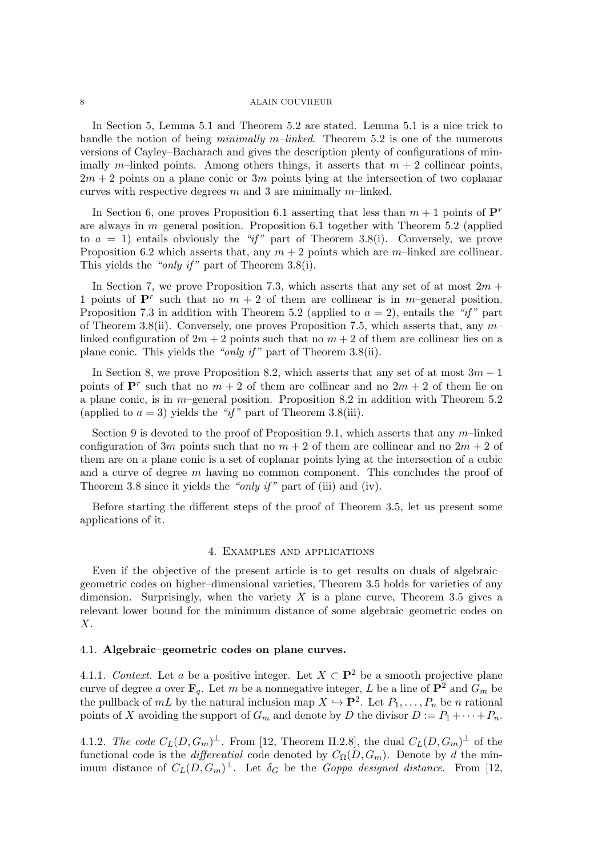In Section 5, Lemma 5.1 and Theorem 5.2 are stated. Lemma 5.1 is a nice trick to handle the notion of being *minimally m–linked*. Theorem 5.2 is one of the numerous versions of Cayley–Bacharach and gives the description plenty of configurations of minimally m–linked points. Among others things, it asserts that  $m + 2$  collinear points,  $2m + 2$  points on a plane conic or 3m points lying at the intersection of two coplanar curves with respective degrees m and 3 are minimally m-linked.

In Section 6, one proves Proposition 6.1 asserting that less than  $m + 1$  points of  $\mathbf{P}^r$ are always in  $m$ –general position. Proposition 6.1 together with Theorem 5.2 (applied to  $a = 1$ ) entails obviously the "if" part of Theorem 3.8(i). Conversely, we prove Proposition 6.2 which asserts that, any  $m + 2$  points which are m–linked are collinear. This yields the "*only if*" part of Theorem 3.8(i).

In Section 7, we prove Proposition 7.3, which asserts that any set of at most  $2m +$ 1 points of  $\mathbf{P}^r$  such that no  $m + 2$  of them are collinear is in m-general position. Proposition 7.3 in addition with Theorem 5.2 (applied to  $a = 2$ ), entails the "if" part of Theorem 3.8(ii). Conversely, one proves Proposition 7.5, which asserts that, any  $m$ linked configuration of  $2m + 2$  points such that no  $m + 2$  of them are collinear lies on a plane conic. This yields the "only if" part of Theorem 3.8(ii).

In Section 8, we prove Proposition 8.2, which asserts that any set of at most  $3m - 1$ points of  $\mathbf{P}^r$  such that no  $m+2$  of them are collinear and no  $2m+2$  of them lie on a plane conic, is in  $m$ –general position. Proposition 8.2 in addition with Theorem 5.2 (applied to  $a = 3$ ) yields the "if" part of Theorem 3.8(iii).

Section 9 is devoted to the proof of Proposition 9.1, which asserts that any  $m$ –linked configuration of 3m points such that no  $m + 2$  of them are collinear and no  $2m + 2$  of them are on a plane conic is a set of coplanar points lying at the intersection of a cubic and a curve of degree m having no common component. This concludes the proof of Theorem 3.8 since it yields the "only if" part of (iii) and (iv).

Before starting the different steps of the proof of Theorem 3.5, let us present some applications of it.

### 4. Examples and applications

Even if the objective of the present article is to get results on duals of algebraic– geometric codes on higher–dimensional varieties, Theorem 3.5 holds for varieties of any dimension. Surprisingly, when the variety  $X$  is a plane curve, Theorem 3.5 gives a relevant lower bound for the minimum distance of some algebraic–geometric codes on X.

# 4.1. Algebraic–geometric codes on plane curves.

4.1.1. Context. Let a be a positive integer. Let  $X \subset \mathbf{P}^2$  be a smooth projective plane curve of degree a over  $\mathbf{F}_q$ . Let m be a nonnegative integer, L be a line of  $\mathbf{P}^2$  and  $G_m$  be the pullback of  $mL$  by the natural inclusion map  $X \hookrightarrow \mathbf{P}^2$ . Let  $P_1, \ldots, P_n$  be n rational points of X avoiding the support of  $G_m$  and denote by D the divisor  $D := P_1 + \cdots + P_n$ .

4.1.2. The code  $C_L(D, G_m)^\perp$ . From [12, Theorem II.2.8], the dual  $C_L(D, G_m)^\perp$  of the functional code is the *differential* code denoted by  $C_{\Omega}(D, G_m)$ . Denote by d the minimum distance of  $C_L(D, G_m)^{\perp}$ . Let  $\delta_G$  be the *Goppa designed distance*. From [12,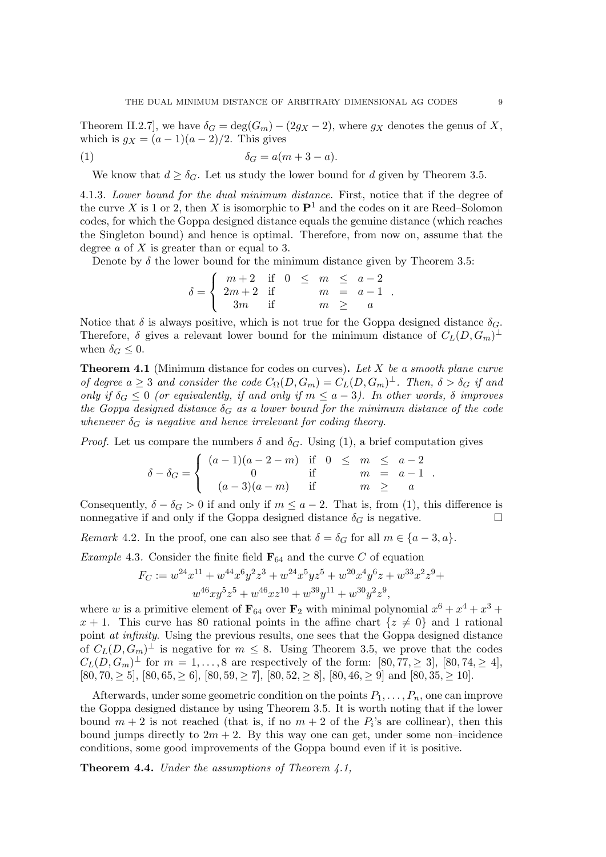Theorem II.2.7], we have  $\delta_G = \deg(G_m) - (2g_X - 2)$ , where  $g_X$  denotes the genus of X, which is  $g_X = (a-1)(a-2)/2$ . This gives

$$
\delta_G = a(m+3-a).
$$

We know that  $d \geq \delta_G$ . Let us study the lower bound for d given by Theorem 3.5.

4.1.3. Lower bound for the dual minimum distance. First, notice that if the degree of the curve X is 1 or 2, then X is isomorphic to  $\mathbf{P}^1$  and the codes on it are Reed–Solomon codes, for which the Goppa designed distance equals the genuine distance (which reaches the Singleton bound) and hence is optimal. Therefore, from now on, assume that the degree a of X is greater than or equal to 3.

Denote by  $\delta$  the lower bound for the minimum distance given by Theorem 3.5:

$$
\delta = \begin{cases}\n m+2 & \text{if } 0 \le m \le a-2 \\
 2m+2 & \text{if } m = a-1 \\
 3m & \text{if } m \ge a\n\end{cases}.
$$

Notice that  $\delta$  is always positive, which is not true for the Goppa designed distance  $\delta_G$ . Therefore,  $\delta$  gives a relevant lower bound for the minimum distance of  $C_L(D, G_m)^\perp$ when  $\delta_G \leq 0$ .

**Theorem 4.1** (Minimum distance for codes on curves). Let  $X$  be a smooth plane curve of degree  $a \geq 3$  and consider the code  $C_{\Omega}(D, G_m) = C_{L}(D, G_m)^{\perp}$ . Then,  $\delta > \delta_G$  if and only if  $\delta_G \leq 0$  (or equivalently, if and only if  $m \leq a-3$ ). In other words,  $\delta$  improves the Goppa designed distance  $\delta_G$  as a lower bound for the minimum distance of the code whenever  $\delta_G$  is negative and hence irrelevant for coding theory.

*Proof.* Let us compare the numbers  $\delta$  and  $\delta_G$ . Using (1), a brief computation gives

$$
\delta - \delta_G = \begin{cases}\n(a-1)(a-2-m) & \text{if } 0 \le m \le a-2 \\
0 & \text{if } m = a-1 \\
(a-3)(a-m) & \text{if } m \ge a\n\end{cases}
$$

Consequently,  $\delta - \delta_G > 0$  if and only if  $m \le a - 2$ . That is, from (1), this difference is nonnegative if and only if the Goppa designed distance  $\delta_G$  is negative.

Remark 4.2. In the proof, one can also see that  $\delta = \delta_G$  for all  $m \in \{a-3, a\}$ .

*Example* 4.3. Consider the finite field  $\mathbf{F}_{64}$  and the curve C of equation

$$
F_C := w^{24}x^{11} + w^{44}x^6y^2z^3 + w^{24}x^5yz^5 + w^{20}x^4y^6z + w^{33}x^2z^9 + w^{46}xy^5z^5 + w^{46}xz^{10} + w^{39}y^{11} + w^{30}y^2z^9,
$$

where w is a primitive element of  $\mathbf{F}_{64}$  over  $\mathbf{F}_2$  with minimal polynomial  $x^6 + x^4 + x^3 +$  $x + 1$ . This curve has 80 rational points in the affine chart  $\{z \neq 0\}$  and 1 rational point at infinity. Using the previous results, one sees that the Goppa designed distance of  $C_L(D, \tilde{G}_m)^\perp$  is negative for  $m \leq 8$ . Using Theorem 3.5, we prove that the codes  $C_L(D, G_m)^{\perp}$  for  $m = 1, ..., 8$  are respectively of the form: [80, 77,  $\geq 3$ ], [80, 74,  $\geq 4$ ],  $[80, 70, \geq 5], [80, 65, \geq 6], [80, 59, \geq 7], [80, 52, \geq 8], [80, 46, \geq 9] \text{ and } [80, 35, \geq 10].$ 

Afterwards, under some geometric condition on the points  $P_1, \ldots, P_n$ , one can improve the Goppa designed distance by using Theorem 3.5. It is worth noting that if the lower bound  $m + 2$  is not reached (that is, if no  $m + 2$  of the  $P_i$ 's are collinear), then this bound jumps directly to  $2m + 2$ . By this way one can get, under some non–incidence conditions, some good improvements of the Goppa bound even if it is positive.

**Theorem 4.4.** Under the assumptions of Theorem  $4.1$ ,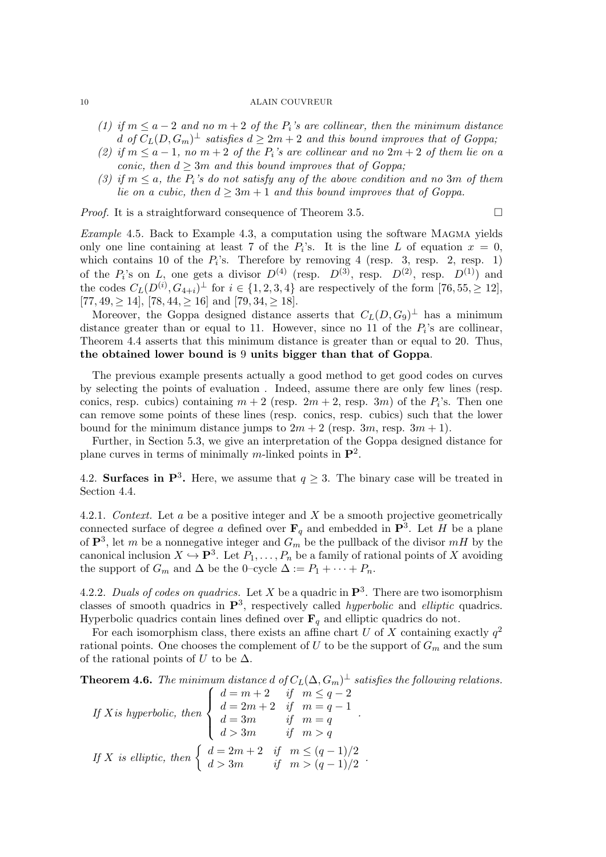- (1) if  $m \le a-2$  and no  $m+2$  of the  $P_i$ 's are collinear, then the minimum distance d of  $C_L(D, G_m)^\perp$  satisfies  $d \geq 2m+2$  and this bound improves that of Goppa;
- (2) if  $m \le a-1$ , no  $m+2$  of the  $P_i$ 's are collinear and no  $2m+2$  of them lie on a conic, then  $d \geq 3m$  and this bound improves that of Goppa;
- (3) if  $m \le a$ , the  $P_i$ 's do not satisfy any of the above condition and no 3m of them lie on a cubic, then  $d \geq 3m + 1$  and this bound improves that of Goppa.

*Proof.* It is a straightforward consequence of Theorem 3.5.  $\Box$ 

Example 4.5. Back to Example 4.3, a computation using the software MAGMA yields only one line containing at least 7 of the  $P_i$ 's. It is the line L of equation  $x = 0$ , which contains 10 of the  $P_i$ 's. Therefore by removing 4 (resp. 3, resp. 2, resp. 1) of the  $P_i$ 's on L, one gets a divisor  $D^{(4)}$  (resp.  $D^{(3)}$ , resp.  $D^{(2)}$ , resp.  $D^{(1)}$ ) and the codes  $C_L(D^{(i)}, G_{4+i})^{\perp}$  for  $i \in \{1, 2, 3, 4\}$  are respectively of the form  $[76, 55, \geq 12]$ ,  $[77, 49, > 14]$ ,  $[78, 44, > 16]$  and  $[79, 34, > 18]$ .

Moreover, the Goppa designed distance asserts that  $C_L(D, G_9)^\perp$  has a minimum distance greater than or equal to 11. However, since no 11 of the  $P_i$ 's are collinear, Theorem 4.4 asserts that this minimum distance is greater than or equal to 20. Thus, the obtained lower bound is 9 units bigger than that of Goppa.

The previous example presents actually a good method to get good codes on curves by selecting the points of evaluation . Indeed, assume there are only few lines (resp. conics, resp. cubics) containing  $m + 2$  (resp.  $2m + 2$ , resp.  $3m$ ) of the  $P_i$ 's. Then one can remove some points of these lines (resp. conics, resp. cubics) such that the lower bound for the minimum distance jumps to  $2m + 2$  (resp. 3m, resp.  $3m + 1$ ).

Further, in Section 5.3, we give an interpretation of the Goppa designed distance for plane curves in terms of minimally m-linked points in  $\mathbf{P}^2$ .

4.2. Surfaces in  $\mathbf{P}^3$ . Here, we assume that  $q \geq 3$ . The binary case will be treated in Section 4.4.

4.2.1. Context. Let a be a positive integer and X be a smooth projective geometrically connected surface of degree a defined over  $\mathbf{F}_q$  and embedded in  $\mathbf{P}^3$ . Let H be a plane of  $\mathbf{P}^3$ , let m be a nonnegative integer and  $G_m$  be the pullback of the divisor  $mH$  by the canonical inclusion  $X \hookrightarrow \mathbf{P}^3$ . Let  $P_1, \ldots, P_n$  be a family of rational points of X avoiding the support of  $G_m$  and  $\Delta$  be the 0–cycle  $\Delta := P_1 + \cdots + P_n$ .

4.2.2. Duals of codes on quadrics. Let X be a quadric in  $\mathbf{P}^3$ . There are two isomorphism classes of smooth quadrics in  $\mathbb{P}^3$ , respectively called *hyperbolic* and *elliptic* quadrics. Hyperbolic quadrics contain lines defined over  $\mathbf{F}_q$  and elliptic quadrics do not.

For each isomorphism class, there exists an affine chart U of X containing exactly  $q^2$ rational points. One chooses the complement of U to be the support of  $G_m$  and the sum of the rational points of U to be  $\Delta$ .

**Theorem 4.6.** The minimum distance d of  $C_L(\Delta, G_m)^{\perp}$  satisfies the following relations.

If X is hyperbolic, then 
$$
\begin{cases} d=m+2 & \text{if } m \leq q-2 \\ d=2m+2 & \text{if } m=q-1 \\ d=3m & \text{if } m=q \\ d>3m & \text{if } m>q \end{cases}
$$
  
If X is elliptic, then 
$$
\begin{cases} d=2m+2 & \text{if } m \leq (q-1)/2 \\ d>3m & \text{if } m>(q-1)/2 \end{cases}
$$
.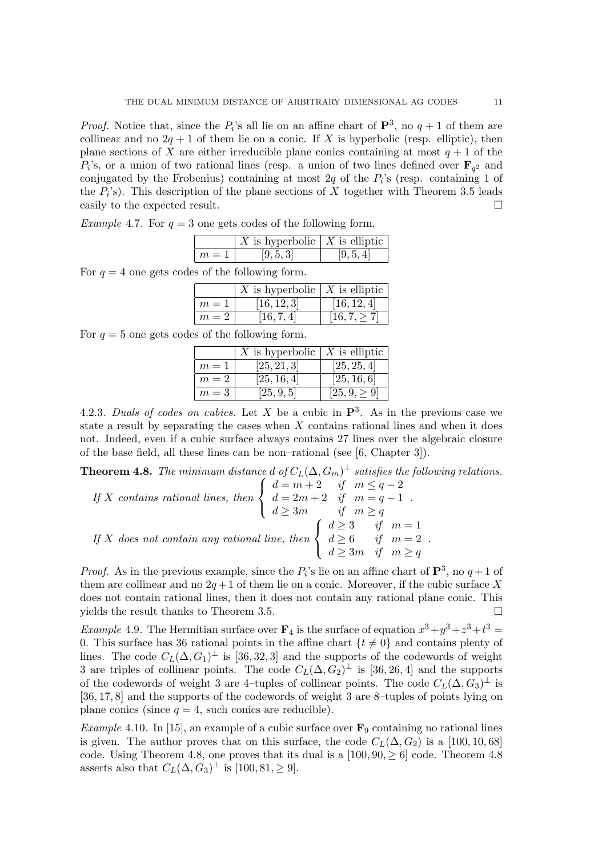*Proof.* Notice that, since the  $P_i$ 's all lie on an affine chart of  $\mathbf{P}^3$ , no  $q+1$  of them are collinear and no  $2q + 1$  of them lie on a conic. If X is hyperbolic (resp. elliptic), then plane sections of X are either irreducible plane conics containing at most  $q + 1$  of the  $P_i$ 's, or a union of two rational lines (resp. a union of two lines defined over  $\mathbf{F}_{q^2}$  and conjugated by the Frobenius) containing at most  $2q$  of the  $P_i$ 's (resp. containing 1 of the  $P_i$ 's). This description of the plane sections of X together with Theorem 3.5 leads easily to the expected result.

*Example 4.7.* For  $q = 3$  one gets codes of the following form.

|       | X is hyperbolic $\mid X$ is elliptic |           |
|-------|--------------------------------------|-----------|
| $m=1$ | [9, 5, 3]                            | [9, 5, 4] |

For  $q = 4$  one gets codes of the following form.

|       | X is hyperbolic $\mid X$ is elliptic |                   |
|-------|--------------------------------------|-------------------|
| $m=1$ | [16, 12, 3]                          | [16, 12, 4]       |
| $m=2$ | [16, 7, 4]                           | $[16, 7, \geq 7]$ |

For  $q = 5$  one gets codes of the following form.

|       | X is hyperbolic $\mid X$ is elliptic |                   |
|-------|--------------------------------------|-------------------|
| $m=1$ | [25, 21, 3]                          | [25, 25, 4]       |
| $m=2$ | [25, 16, 4]                          | [25, 16, 6]       |
| $m=3$ | [25, 9, 5]                           | $[25, 9, \geq 9]$ |

4.2.3. Duals of codes on cubics. Let X be a cubic in  $\mathbf{P}^3$ . As in the previous case we state a result by separating the cases when  $X$  contains rational lines and when it does not. Indeed, even if a cubic surface always contains 27 lines over the algebraic closure of the base field, all these lines can be non–rational (see [6, Chapter 3]).

**Theorem 4.8.** The minimum distance d of  $C_L(\Delta, G_m)^{\perp}$  satisfies the following relations.

If X contains rational lines, then 
$$
\begin{cases} d=m+2 & \text{if } m \leq q-2 \\ d=2m+2 & \text{if } m=q-1 \\ d \geq 3m & \text{if } m \geq q \end{cases}
$$
  
If X does not contain any rational line, then 
$$
\begin{cases} d \geq 3 & \text{if } m=1 \\ d \geq 6 & \text{if } m=2 \\ d \geq 3m & \text{if } m \geq q \end{cases}
$$
.

*Proof.* As in the previous example, since the  $P_i$ 's lie on an affine chart of  $\mathbf{P}^3$ , no  $q+1$  of them are collinear and no  $2q+1$  of them lie on a conic. Moreover, if the cubic surface X does not contain rational lines, then it does not contain any rational plane conic. This yields the result thanks to Theorem 3.5.

*Example* 4.9. The Hermitian surface over  $\mathbf{F}_4$  is the surface of equation  $x^3 + y^3 + z^3 + t^3 =$ 0. This surface has 36 rational points in the affine chart  $\{t \neq 0\}$  and contains plenty of lines. The code  $C_L(\Delta, G_1)^{\perp}$  is [36, 32, 3] and the supports of the codewords of weight 3 are triples of collinear points. The code  $C_L(\Delta, G_2)$ <sup> $\perp$ </sup> is [36, 26, 4] and the supports of the codewords of weight 3 are 4–tuples of collinear points. The code  $C_L(\Delta, \hat{G}_3)^\perp$  is [36, 17, 8] and the supports of the codewords of weight 3 are 8–tuples of points lying on plane conics (since  $q = 4$ , such conics are reducible).

*Example* 4.10. In [15], an example of a cubic surface over  $\mathbf{F}_9$  containing no rational lines is given. The author proves that on this surface, the code  $C_L(\Delta, G_2)$  is a [100, 10, 68] code. Using Theorem 4.8, one proves that its dual is a  $[100, 90, \ge 6]$  code. Theorem 4.8 asserts also that  $C_L(\Delta, G_3)^\perp$  is  $[100, 81, \geq 9]$ .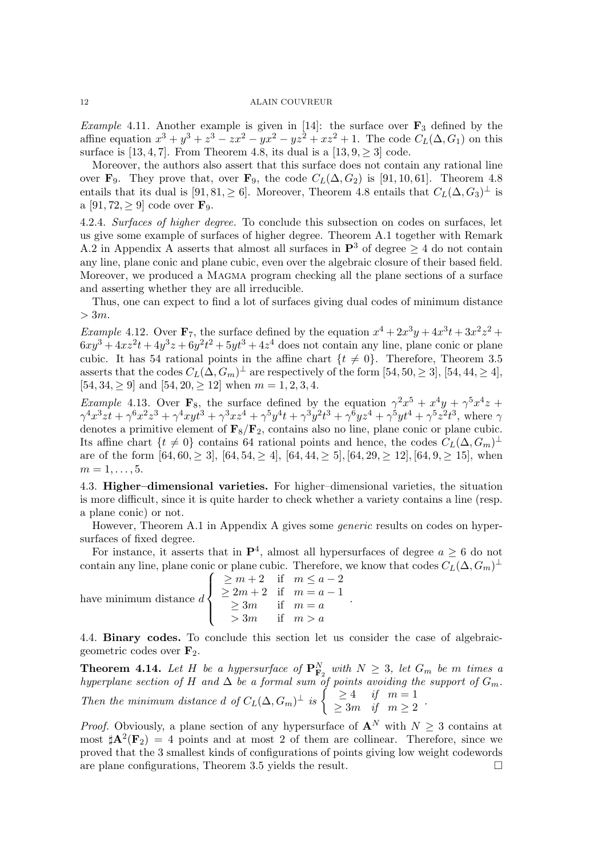*Example* 4.11. Another example is given in [14]: the surface over  $\mathbf{F}_3$  defined by the affine equation  $x^3 + y^3 + z^3 - zx^2 - yx^2 - yz^2 + xz^2 + 1$ . The code  $C_L(\Delta, G_1)$  on this surface is [13, 4, 7]. From Theorem 4.8, its dual is a [13, 9,  $\geq$  3] code.

Moreover, the authors also assert that this surface does not contain any rational line over  $\mathbf{F}_9$ . They prove that, over  $\mathbf{F}_9$ , the code  $C_L(\Delta, G_2)$  is [91, 10, 61]. Theorem 4.8 entails that its dual is  $[91, 81, \ge 6]$ . Moreover, Theorem 4.8 entails that  $C_L(\Delta, G_3)^\perp$  is a [91, 72,  $\geq$  9] code over  $\mathbf{F}_9$ .

4.2.4. Surfaces of higher degree. To conclude this subsection on codes on surfaces, let us give some example of surfaces of higher degree. Theorem A.1 together with Remark A.2 in Appendix A asserts that almost all surfaces in  $\mathbf{P}^3$  of degree  $\geq 4$  do not contain any line, plane conic and plane cubic, even over the algebraic closure of their based field. Moreover, we produced a MAGMA program checking all the plane sections of a surface and asserting whether they are all irreducible.

Thus, one can expect to find a lot of surfaces giving dual codes of minimum distance  $> 3m$ .

*Example 4.12.* Over  $\mathbf{F}_7$ , the surface defined by the equation  $x^4 + 2x^3y + 4x^3t + 3x^2z^2 +$  $6xy^3 + 4xz^2t + 4y^3z + 6y^2t^2 + 5yt^3 + 4z^4$  does not contain any line, plane conic or plane cubic. It has 54 rational points in the affine chart  $\{t \neq 0\}$ . Therefore, Theorem 3.5 asserts that the codes  $C_L(\hat{\Delta}, G_m)^{\perp}$  are respectively of the form  $[54, 50, \geq 3]$ ,  $[54, 44, \geq 4]$ ,  $[54, 34, \geq 9]$  and  $[54, 20, \geq 12]$  when  $m = 1, 2, 3, 4$ .

*Example* 4.13. Over **F**<sub>8</sub>, the surface defined by the equation  $\gamma^2 x^5 + x^4 y + \gamma^5 x^4 z +$  $\gamma^4 x^3 z t + \gamma^6 x^2 z^3 + \gamma^4 x y t^3 + \gamma^3 x z^4 + \gamma^5 y^4 t + \gamma^3 y^2 t^3 + \gamma^6 y z^4 + \gamma^5 y t^4 + \gamma^5 z^2 t^3$ , where  $\gamma$ denotes a primitive element of  $\mathbf{F}_8/\mathbf{F}_2$ , contains also no line, plane conic or plane cubic. Its affine chart  $\{t \neq 0\}$  contains 64 rational points and hence, the codes  $C_L(\Delta, G_m)^\perp$ are of the form  $[64, 60, \geq 3]$ ,  $[64, 54, \geq 4]$ ,  $[64, 44, \geq 5]$ ,  $[64, 29, \geq 12]$ ,  $[64, 9, \geq 15]$ , when  $m = 1, \ldots, 5$ .

4.3. Higher–dimensional varieties. For higher–dimensional varieties, the situation is more difficult, since it is quite harder to check whether a variety contains a line (resp. a plane conic) or not.

However, Theorem A.1 in Appendix A gives some generic results on codes on hypersurfaces of fixed degree.

For instance, it asserts that in  $\mathbf{P}^4$ , almost all hypersurfaces of degree  $a \geq 6$  do not contain any line, plane conic or plane cubic. Therefore, we know that codes  $C_L(\Delta, G_m)^\perp$ 

.

have minimum distance  $d$  $\sqrt{ }$  $\int$  $\overline{\mathcal{L}}$  $\geq m+2$  if  $m \leq a-2$  $\geq 2m + 2$  if  $m = a - 1$  $\geq 3m$  if  $m = a$  $> 3m$  if  $m > a$ 

4.4. Binary codes. To conclude this section let us consider the case of algebraicgeometric codes over  $\mathbf{F}_2$ .

**Theorem 4.14.** Let H be a hypersurface of  $\mathbf{P}_{\mathbf{F}_2}^N$  with  $N \geq 3$ , let  $G_m$  be m times a hyperplane section of H and  $\Delta$  be a formal sum of points avoiding the support of  $G_m$ . Then the minimum distance d of  $C_L(\Delta, G_m)^\perp$  is  $\begin{cases} \geq 4 & \text{if } m=1 \\ > 3m & \text{if } m > 2 \end{cases}$  $\geq 3m$  if  $m \geq 2$ .

*Proof.* Obviously, a plane section of any hypersurface of  $\mathbf{A}^N$  with  $N \geq 3$  contains at most  $\sharp \mathbf{A}^2(\mathbf{F}_2) = 4$  points and at most 2 of them are collinear. Therefore, since we proved that the 3 smallest kinds of configurations of points giving low weight codewords are plane configurations, Theorem 3.5 yields the result.  $\Box$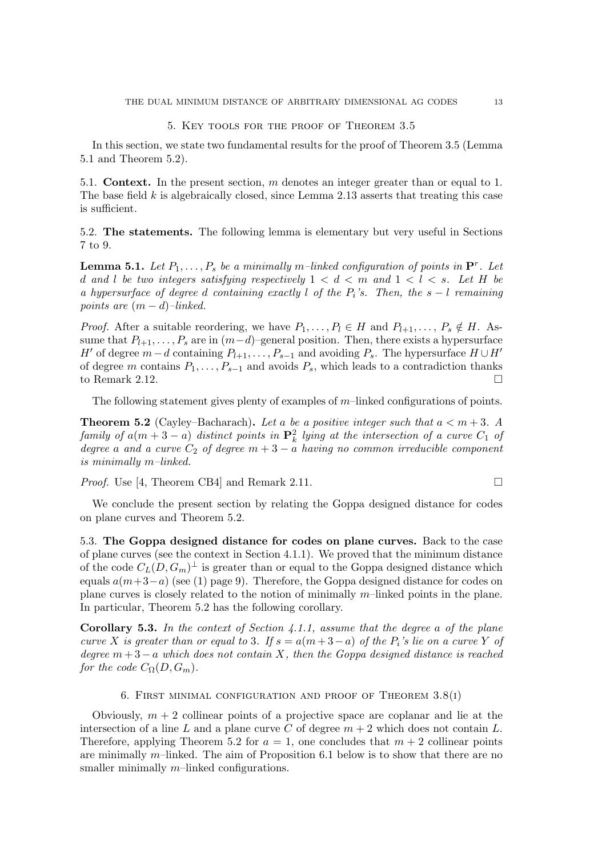### 5. Key tools for the proof of Theorem 3.5

In this section, we state two fundamental results for the proof of Theorem 3.5 (Lemma 5.1 and Theorem 5.2).

5.1. **Context.** In the present section,  $m$  denotes an integer greater than or equal to 1. The base field  $k$  is algebraically closed, since Lemma 2.13 asserts that treating this case is sufficient.

5.2. The statements. The following lemma is elementary but very useful in Sections 7 to 9.

**Lemma 5.1.** Let  $P_1, \ldots, P_s$  be a minimally m-linked configuration of points in  $\mathbf{P}^r$ . Let d and l be two integers satisfying respectively  $1 < d < m$  and  $1 < l < s$ . Let H be a hypersurface of degree d containing exactly l of the  $P_i$ 's. Then, the s – l remaining points are  $(m-d)$ –linked.

*Proof.* After a suitable reordering, we have  $P_1, \ldots, P_l \in H$  and  $P_{l+1}, \ldots, P_s \notin H$ . Assume that  $P_{l+1}, \ldots, P_s$  are in  $(m-d)$ –general position. Then, there exists a hypersurface H' of degree  $m-d$  containing  $P_{l+1}, \ldots, P_{s-1}$  and avoiding  $P_s$ . The hypersurface  $H \cup H'$ of degree m contains  $P_1, \ldots, P_{s-1}$  and avoids  $P_s$ , which leads to a contradiction thanks to Remark 2.12.

The following statement gives plenty of examples of  $m$ –linked configurations of points.

**Theorem 5.2** (Cayley–Bacharach). Let a be a positive integer such that  $a < m+3$ . A family of  $a(m+3-a)$  distinct points in  $\mathbf{P}^2_k$  lying at the intersection of a curve  $C_1$  of degree a and a curve  $C_2$  of degree  $m + 3 - a$  having no common irreducible component is minimally m–linked.

*Proof.* Use [4, Theorem CB4] and Remark 2.11.

We conclude the present section by relating the Goppa designed distance for codes on plane curves and Theorem 5.2.

5.3. The Goppa designed distance for codes on plane curves. Back to the case of plane curves (see the context in Section 4.1.1). We proved that the minimum distance of the code  $C_L(D, G_m)^\perp$  is greater than or equal to the Goppa designed distance which equals  $a(m+3-a)$  (see (1) page 9). Therefore, the Goppa designed distance for codes on plane curves is closely related to the notion of minimally m–linked points in the plane. In particular, Theorem 5.2 has the following corollary.

**Corollary 5.3.** In the context of Section 4.1.1, assume that the degree a of the plane curve X is greater than or equal to 3. If  $s = a(m+3-a)$  of the  $P_i$ 's lie on a curve Y of degree  $m+3-a$  which does not contain X, then the Goppa designed distance is reached for the code  $C_{\Omega}(D, G_m)$ .

# 6. FIRST MINIMAL CONFIGURATION AND PROOF OF THEOREM  $3.8(1)$

Obviously,  $m + 2$  collinear points of a projective space are coplanar and lie at the intersection of a line L and a plane curve C of degree  $m + 2$  which does not contain L. Therefore, applying Theorem 5.2 for  $a = 1$ , one concludes that  $m + 2$  collinear points are minimally  $m$ –linked. The aim of Proposition 6.1 below is to show that there are no smaller minimally  $m$ –linked configurations.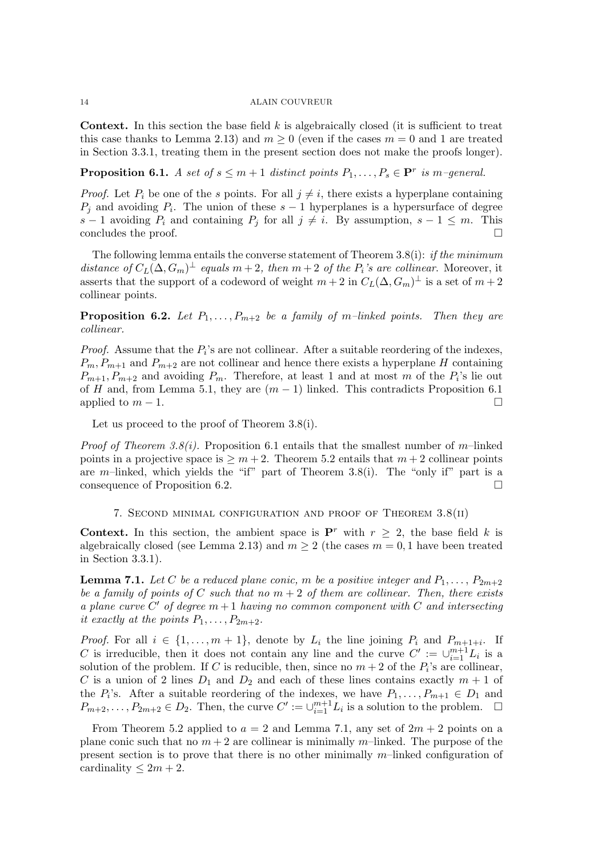**Context.** In this section the base field  $k$  is algebraically closed (it is sufficient to treat this case thanks to Lemma 2.13) and  $m \geq 0$  (even if the cases  $m = 0$  and 1 are treated in Section 3.3.1, treating them in the present section does not make the proofs longer).

**Proposition 6.1.** A set of  $s \leq m+1$  distinct points  $P_1, \ldots, P_s \in \mathbf{P}^r$  is m-general.

*Proof.* Let  $P_i$  be one of the s points. For all  $j \neq i$ , there exists a hyperplane containing  $P_j$  and avoiding  $P_i$ . The union of these  $s-1$  hyperplanes is a hypersurface of degree s − 1 avoiding  $P_i$  and containing  $P_j$  for all  $j \neq i$ . By assumption, s − 1 ≤ m. This concludes the proof.

The following lemma entails the converse statement of Theorem 3.8(i): *if the minimum* distance of  $C_L(\Delta, G_m)^{\perp}$  equals  $m+2$ , then  $m+2$  of the  $P_i$ 's are collinear. Moreover, it asserts that the support of a codeword of weight  $m+2$  in  $C_L(\Delta, G_m)^\perp$  is a set of  $m+2$ collinear points.

**Proposition 6.2.** Let  $P_1, \ldots, P_{m+2}$  be a family of m-linked points. Then they are collinear.

*Proof.* Assume that the  $P_i$ 's are not collinear. After a suitable reordering of the indexes,  $P_m, P_{m+1}$  and  $P_{m+2}$  are not collinear and hence there exists a hyperplane H containing  $P_{m+1}, P_{m+2}$  and avoiding  $P_m$ . Therefore, at least 1 and at most m of the  $P_i$ 's lie out of H and, from Lemma 5.1, they are  $(m-1)$  linked. This contradicts Proposition 6.1 applied to  $m-1$ .

Let us proceed to the proof of Theorem 3.8(i).

*Proof of Theorem 3.8(i).* Proposition 6.1 entails that the smallest number of m-linked points in a projective space is  $\geq m+2$ . Theorem 5.2 entails that  $m+2$  collinear points are m–linked, which yields the "if" part of Theorem 3.8(i). The "only if" part is a consequence of Proposition 6.2.

# 7. Second minimal configuration and proof of Theorem 3.8(ii)

**Context.** In this section, the ambient space is  $\mathbf{P}^r$  with  $r \geq 2$ , the base field k is algebraically closed (see Lemma 2.13) and  $m \geq 2$  (the cases  $m = 0, 1$  have been treated in Section 3.3.1).

**Lemma 7.1.** Let C be a reduced plane conic, m be a positive integer and  $P_1, \ldots, P_{2m+2}$ be a family of points of C such that no  $m + 2$  of them are collinear. Then, there exists a plane curve  $C'$  of degree  $m+1$  having no common component with  $C$  and intersecting it exactly at the points  $P_1, \ldots, P_{2m+2}$ .

*Proof.* For all  $i \in \{1, ..., m + 1\}$ , denote by  $L_i$  the line joining  $P_i$  and  $P_{m+1+i}$ . If C is irreducible, then it does not contain any line and the curve  $C' := \bigcup_{i=1}^{m+1} L_i$  is a solution of the problem. If C is reducible, then, since no  $m + 2$  of the  $P_i$ 's are collinear, C is a union of 2 lines  $D_1$  and  $D_2$  and each of these lines contains exactly  $m + 1$  of the  $P_i$ 's. After a suitable reordering of the indexes, we have  $P_1, \ldots, P_{m+1} \in D_1$  and  $P_{m+2}, \ldots, P_{2m+2} \in D_2$ . Then, the curve  $C' := \cup_{i=1}^{m+1} L_i$  is a solution to the problem.  $\Box$ 

From Theorem 5.2 applied to  $a = 2$  and Lemma 7.1, any set of  $2m + 2$  points on a plane conic such that no  $m + 2$  are collinear is minimally m-linked. The purpose of the present section is to prove that there is no other minimally  $m$ –linked configuration of cardinality  $\leq 2m + 2$ .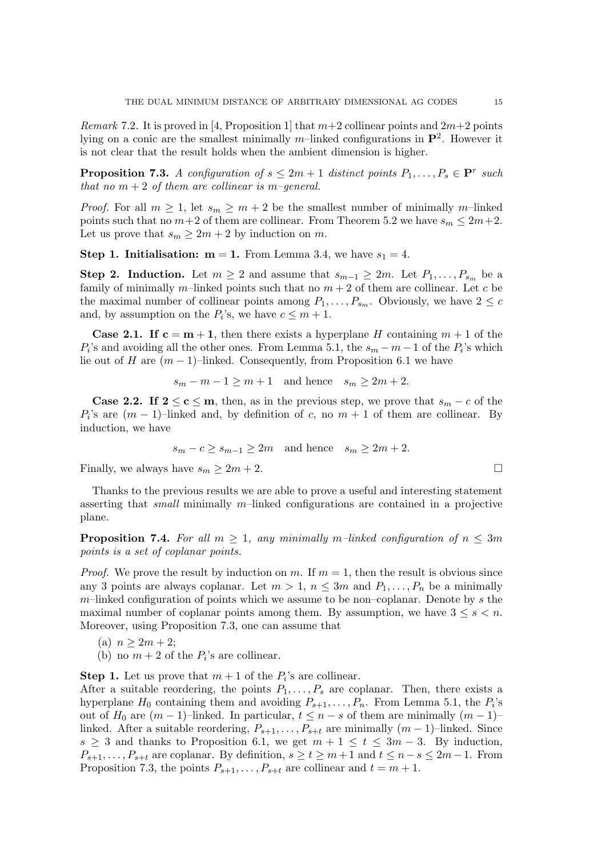*Remark* 7.2. It is proved in [4, Proposition 1] that  $m+2$  collinear points and  $2m+2$  points lying on a conic are the smallest minimally  $m$ -linked configurations in  $\mathbf{P}^2$ . However it is not clear that the result holds when the ambient dimension is higher.

**Proposition 7.3.** A configuration of  $s \leq 2m + 1$  distinct points  $P_1, \ldots, P_s \in \mathbf{P}^r$  such that no  $m + 2$  of them are collinear is m-general.

*Proof.* For all  $m \geq 1$ , let  $s_m \geq m+2$  be the smallest number of minimally m-linked points such that no  $m+2$  of them are collinear. From Theorem 5.2 we have  $s_m \leq 2m+2$ . Let us prove that  $s_m \geq 2m + 2$  by induction on m.

**Step 1. Initialisation:**  $m = 1$ . From Lemma 3.4, we have  $s_1 = 4$ .

Step 2. Induction. Let  $m \geq 2$  and assume that  $s_{m-1} \geq 2m$ . Let  $P_1, \ldots, P_{s_m}$  be a family of minimally m–linked points such that no  $m + 2$  of them are collinear. Let c be the maximal number of collinear points among  $P_1, \ldots, P_{s_m}$ . Obviously, we have  $2 \leq c$ and, by assumption on the  $P_i$ 's, we have  $c \leq m+1$ .

**Case 2.1.** If  $c = m + 1$ , then there exists a hyperplane H containing  $m + 1$  of the  $P_i$ 's and avoiding all the other ones. From Lemma 5.1, the  $s_m - m - 1$  of the  $P_i$ 's which lie out of H are  $(m-1)$ –linked. Consequently, from Proposition 6.1 we have

 $s_m - m - 1 \ge m + 1$  and hence  $s_m \ge 2m + 2$ .

**Case 2.2.** If  $2 \le c \le m$ , then, as in the previous step, we prove that  $s_m - c$  of the  $P_i$ 's are  $(m-1)$ –linked and, by definition of c, no  $m+1$  of them are collinear. By induction, we have

$$
s_m - c \ge s_{m-1} \ge 2m
$$
 and hence  $s_m \ge 2m + 2$ .

Finally, we always have  $s_m \geq 2m + 2$ .

Thanks to the previous results we are able to prove a useful and interesting statement asserting that *small* minimally m–linked configurations are contained in a projective plane.

**Proposition 7.4.** For all  $m \geq 1$ , any minimally m-linked configuration of  $n \leq 3m$ points is a set of coplanar points.

*Proof.* We prove the result by induction on m. If  $m = 1$ , then the result is obvious since any 3 points are always coplanar. Let  $m > 1$ ,  $n \leq 3m$  and  $P_1, \ldots, P_n$  be a minimally  $m$ –linked configuration of points which we assume to be non–coplanar. Denote by s the maximal number of coplanar points among them. By assumption, we have  $3 \leq s < n$ . Moreover, using Proposition 7.3, one can assume that

(a) 
$$
n \geq 2m + 2
$$
;

(b) no  $m + 2$  of the  $P_i$ 's are collinear.

**Step 1.** Let us prove that  $m + 1$  of the  $P_i$ 's are collinear.

After a suitable reordering, the points  $P_1, \ldots, P_s$  are coplanar. Then, there exists a hyperplane  $H_0$  containing them and avoiding  $P_{s+1}, \ldots, P_n$ . From Lemma 5.1, the  $P_i$ 's out of  $H_0$  are  $(m-1)$ –linked. In particular,  $t \leq n - s$  of them are minimally  $(m-1)$ – linked. After a suitable reordering,  $P_{s+1}, \ldots, P_{s+t}$  are minimally  $(m-1)$ –linked. Since  $s \geq 3$  and thanks to Proposition 6.1, we get  $m + 1 \leq t \leq 3m - 3$ . By induction,  $P_{s+1}, \ldots, P_{s+t}$  are coplanar. By definition,  $s \ge t \ge m+1$  and  $t \le n-s \le 2m-1$ . From Proposition 7.3, the points  $P_{s+1}, \ldots, P_{s+t}$  are collinear and  $t = m + 1$ .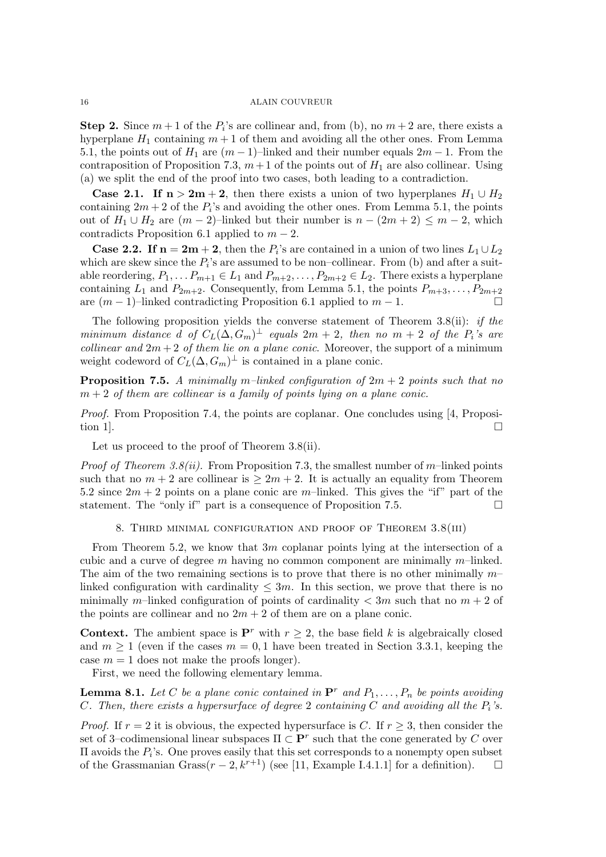**Step 2.** Since  $m + 1$  of the  $P_i$ 's are collinear and, from (b), no  $m + 2$  are, there exists a hyperplane  $H_1$  containing  $m + 1$  of them and avoiding all the other ones. From Lemma 5.1, the points out of  $H_1$  are  $(m-1)$ –linked and their number equals  $2m-1$ . From the contraposition of Proposition 7.3,  $m+1$  of the points out of  $H_1$  are also collinear. Using (a) we split the end of the proof into two cases, both leading to a contradiction.

**Case 2.1.** If  $n > 2m + 2$ , then there exists a union of two hyperplanes  $H_1 \cup H_2$ containing  $2m + 2$  of the  $P_i$ 's and avoiding the other ones. From Lemma 5.1, the points out of  $H_1 \cup H_2$  are  $(m-2)$ –linked but their number is  $n - (2m + 2) \le m - 2$ , which contradicts Proposition 6.1 applied to  $m-2$ .

**Case 2.2.** If  $n = 2m + 2$ , then the  $P_i$ 's are contained in a union of two lines  $L_1 \cup L_2$ which are skew since the  $P_i$ 's are assumed to be non-collinear. From (b) and after a suitable reordering,  $P_1, \ldots P_{m+1} \in L_1$  and  $P_{m+2}, \ldots, P_{2m+2} \in L_2$ . There exists a hyperplane containing  $L_1$  and  $P_{2m+2}$ . Consequently, from Lemma 5.1, the points  $P_{m+3}, \ldots, P_{2m+2}$ are  $(m-1)$ –linked contradicting Proposition 6.1 applied to  $m-1$ . □

The following proposition yields the converse statement of Theorem  $3.8(ii)$ : *if the* minimum distance  $\tilde{d}$  of  $C_L(\tilde{\Delta}, G_m)^{\perp}$  equals  $2m + 2$ , then no  $m + 2$  of the  $P_i$ 's are collinear and  $2m + 2$  of them lie on a plane conic. Moreover, the support of a minimum weight codeword of  $C_L(\Delta, G_m)^{\perp}$  is contained in a plane conic.

**Proposition 7.5.** A minimally m-linked configuration of  $2m + 2$  points such that no  $m + 2$  of them are collinear is a family of points lying on a plane conic.

*Proof.* From Proposition 7.4, the points are coplanar. One concludes using [4, Proposition 1].

Let us proceed to the proof of Theorem 3.8(ii).

*Proof of Theorem 3.8(ii).* From Proposition 7.3, the smallest number of m–linked points such that no  $m + 2$  are collinear is  $\geq 2m + 2$ . It is actually an equality from Theorem 5.2 since  $2m + 2$  points on a plane conic are m-linked. This gives the "if" part of the statement. The "only if" part is a consequence of Proposition 7.5.

# 8. Third minimal configuration and proof of Theorem 3.8(iii)

From Theorem 5.2, we know that  $3m$  coplanar points lying at the intersection of a cubic and a curve of degree  $m$  having no common component are minimally  $m$ -linked. The aim of the two remaining sections is to prove that there is no other minimally  $m$ linked configuration with cardinality  $\leq 3m$ . In this section, we prove that there is no minimally m-linked configuration of points of cardinality  $\langle 3m \rangle$  such that no  $m+2$  of the points are collinear and no  $2m + 2$  of them are on a plane conic.

**Context.** The ambient space is  $\mathbf{P}^r$  with  $r \geq 2$ , the base field k is algebraically closed and  $m \ge 1$  (even if the cases  $m = 0, 1$  have been treated in Section 3.3.1, keeping the case  $m = 1$  does not make the proofs longer).

First, we need the following elementary lemma.

**Lemma 8.1.** Let C be a plane conic contained in  $\mathbf{P}^r$  and  $P_1, \ldots, P_n$  be points avoiding C. Then, there exists a hypersurface of degree 2 containing C and avoiding all the  $P_i$ 's.

*Proof.* If  $r = 2$  it is obvious, the expected hypersurface is C. If  $r \geq 3$ , then consider the set of 3–codimensional linear subspaces  $\Pi \subset \mathbf{P}^r$  such that the cone generated by C over  $\Pi$  avoids the  $P_i$ 's. One proves easily that this set corresponds to a nonempty open subset of the Grassmanian Grass( $r - 2$ ,  $k^{r+1}$ ) (see [11, Example I.4.1.1] for a definition). □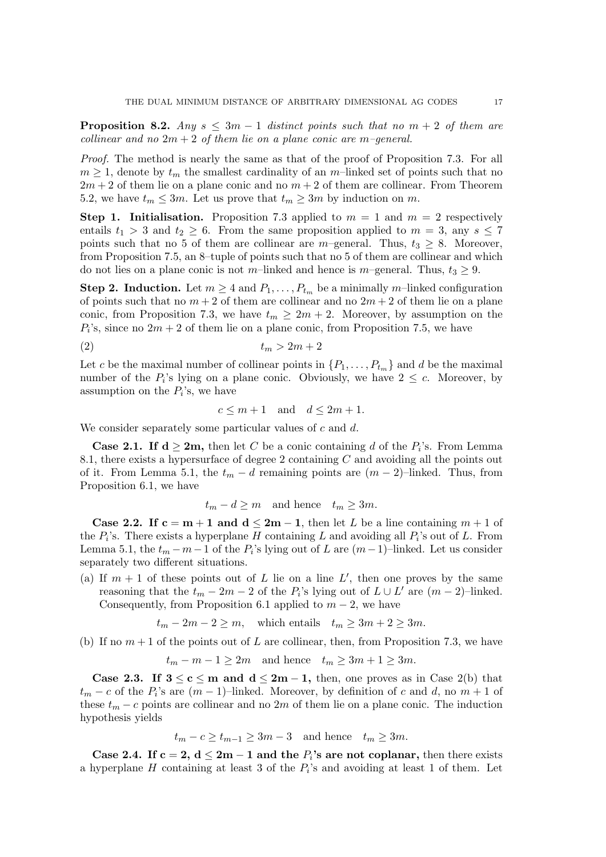**Proposition 8.2.** Any  $s \leq 3m - 1$  distinct points such that no  $m + 2$  of them are collinear and no  $2m + 2$  of them lie on a plane conic are m-general.

Proof. The method is nearly the same as that of the proof of Proposition 7.3. For all  $m \geq 1$ , denote by  $t_m$  the smallest cardinality of an m-linked set of points such that no  $2m + 2$  of them lie on a plane conic and no  $m + 2$  of them are collinear. From Theorem 5.2, we have  $t_m \leq 3m$ . Let us prove that  $t_m \geq 3m$  by induction on m.

**Step 1. Initialisation.** Proposition 7.3 applied to  $m = 1$  and  $m = 2$  respectively entails  $t_1 > 3$  and  $t_2 \geq 6$ . From the same proposition applied to  $m = 3$ , any  $s \leq 7$ points such that no 5 of them are collinear are m–general. Thus,  $t_3 \geq 8$ . Moreover, from Proposition 7.5, an 8–tuple of points such that no 5 of them are collinear and which do not lies on a plane conic is not m–linked and hence is m–general. Thus,  $t_3 \geq 9$ .

**Step 2. Induction.** Let  $m \geq 4$  and  $P_1, \ldots, P_{t_m}$  be a minimally m–linked configuration of points such that no  $m + 2$  of them are collinear and no  $2m + 2$  of them lie on a plane conic, from Proposition 7.3, we have  $t_m \geq 2m + 2$ . Moreover, by assumption on the  $P_i$ 's, since no  $2m + 2$  of them lie on a plane conic, from Proposition 7.5, we have

$$
(2) \t\t t_m > 2m + 2
$$

Let c be the maximal number of collinear points in  $\{P_1, \ldots, P_{t_m}\}$  and d be the maximal number of the  $P_i$ 's lying on a plane conic. Obviously, we have  $2 \leq c$ . Moreover, by assumption on the  $P_i$ 's, we have

$$
c \le m + 1 \quad \text{and} \quad d \le 2m + 1.
$$

We consider separately some particular values of  $c$  and  $d$ .

**Case 2.1. If**  $d \ge 2m$ **,** then let C be a conic containing d of the  $P_i$ 's. From Lemma 8.1, there exists a hypersurface of degree 2 containing C and avoiding all the points out of it. From Lemma 5.1, the  $t_m - d$  remaining points are  $(m - 2)$ –linked. Thus, from Proposition 6.1, we have

$$
t_m - d \ge m
$$
 and hence  $t_m \ge 3m$ .

**Case 2.2.** If  $c = m + 1$  and  $d \leq 2m - 1$ , then let L be a line containing  $m + 1$  of the  $P_i$ 's. There exists a hyperplane H containing L and avoiding all  $P_i$ 's out of L. From Lemma 5.1, the  $t_m - m - 1$  of the  $P_i$ 's lying out of L are  $(m-1)$ –linked. Let us consider separately two different situations.

(a) If  $m + 1$  of these points out of L lie on a line L', then one proves by the same reasoning that the  $t_m - 2m - 2$  of the  $P_i$ 's lying out of  $L \cup L'$  are  $(m-2)$ -linked. Consequently, from Proposition 6.1 applied to  $m-2$ , we have

 $t_m - 2m - 2 \ge m$ , which entails  $t_m \ge 3m + 2 \ge 3m$ .

(b) If no  $m + 1$  of the points out of L are collinear, then, from Proposition 7.3, we have

$$
t_m - m - 1 \ge 2m
$$
 and hence  $t_m \ge 3m + 1 \ge 3m$ .

**Case 2.3.** If  $3 \le c \le m$  and  $d \le 2m - 1$ , then, one proves as in Case 2(b) that  $t_m - c$  of the  $P_i$ 's are  $(m - 1)$ –linked. Moreover, by definition of c and d, no  $m + 1$  of these  $t_m - c$  points are collinear and no 2m of them lie on a plane conic. The induction hypothesis yields

$$
t_m - c \ge t_{m-1} \ge 3m - 3 \quad \text{and hence} \quad t_m \ge 3m.
$$

Case 2.4. If  $c = 2$ ,  $d \leq 2m - 1$  and the  $P_i$ 's are not coplanar, then there exists a hyperplane  $H$  containing at least 3 of the  $P_i$ 's and avoiding at least 1 of them. Let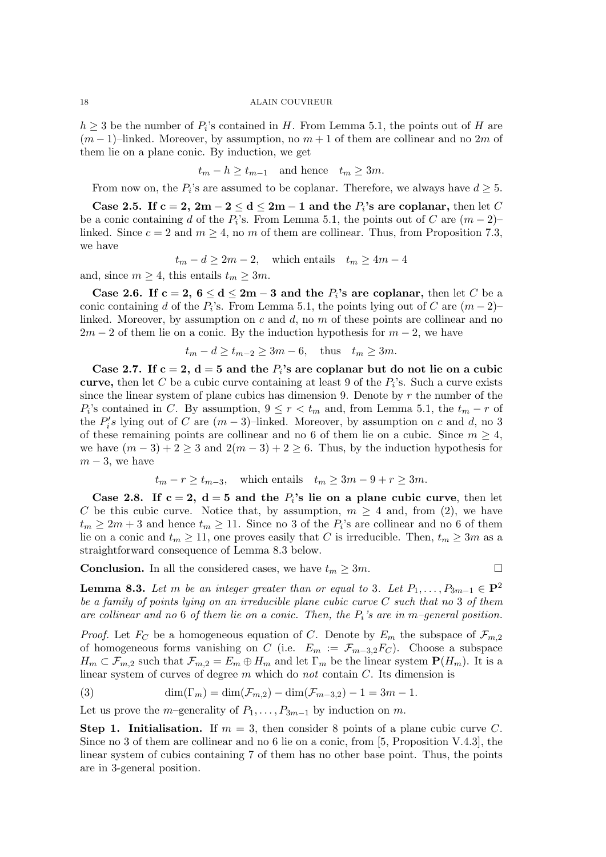$h \geq 3$  be the number of  $P_i$ 's contained in H. From Lemma 5.1, the points out of H are  $(m-1)$ –linked. Moreover, by assumption, no  $m+1$  of them are collinear and no 2m of them lie on a plane conic. By induction, we get

$$
t_m - h \ge t_{m-1}
$$
 and hence  $t_m \ge 3m$ .

From now on, the  $P_i$ 's are assumed to be coplanar. Therefore, we always have  $d \geq 5$ .

Case 2.5. If  $c = 2$ ,  $2m - 2 \le d \le 2m - 1$  and the  $P_i$ 's are coplanar, then let C be a conic containing d of the  $P_i$ 's. From Lemma 5.1, the points out of C are  $(m-2)$ – linked. Since  $c = 2$  and  $m \geq 4$ , no m of them are collinear. Thus, from Proposition 7.3, we have

$$
t_m - d \ge 2m - 2
$$
, which entails  $t_m \ge 4m - 4$ 

and, since  $m \geq 4$ , this entails  $t_m \geq 3m$ .

Case 2.6. If  $c = 2$ ,  $6 \le d \le 2m - 3$  and the  $P_i$ 's are coplanar, then let C be a conic containing d of the  $P_i$ 's. From Lemma 5.1, the points lying out of C are  $(m-2)$ – linked. Moreover, by assumption on  $c$  and  $d$ , no  $m$  of these points are collinear and no  $2m-2$  of them lie on a conic. By the induction hypothesis for  $m-2$ , we have

$$
t_m - d \ge t_{m-2} \ge 3m - 6, \quad \text{thus} \quad t_m \ge 3m.
$$

Case 2.7. If  $c = 2$ ,  $d = 5$  and the  $P<sub>i</sub>$ 's are coplanar but do not lie on a cubic curve, then let C be a cubic curve containing at least 9 of the  $P_i$ 's. Such a curve exists since the linear system of plane cubics has dimension 9. Denote by  $r$  the number of the  $P_i$ 's contained in C. By assumption,  $9 \le r < t_m$  and, from Lemma 5.1, the  $t_m - r$  of the  $P_i'$  $S_i$ 's lying out of C are  $(m-3)$ –linked. Moreover, by assumption on c and d, no 3 of these remaining points are collinear and no 6 of them lie on a cubic. Since  $m \geq 4$ , we have  $(m-3)+2\geq 3$  and  $2(m-3)+2\geq 6$ . Thus, by the induction hypothesis for  $m-3$ , we have

$$
t_m - r \ge t_{m-3}
$$
, which entails  $t_m \ge 3m - 9 + r \ge 3m$ .

Case 2.8. If  $c = 2$ ,  $d = 5$  and the  $P_i$ 's lie on a plane cubic curve, then let C be this cubic curve. Notice that, by assumption,  $m \geq 4$  and, from (2), we have  $t_m \geq 2m+3$  and hence  $t_m \geq 11$ . Since no 3 of the  $P_i$ 's are collinear and no 6 of them lie on a conic and  $t_m \ge 11$ , one proves easily that C is irreducible. Then,  $t_m \ge 3m$  as a straightforward consequence of Lemma 8.3 below.

**Conclusion.** In all the considered cases, we have  $t_m \geq 3m$ .

$$
\qquad \qquad \Box
$$

**Lemma 8.3.** Let m be an integer greater than or equal to 3. Let  $P_1, \ldots, P_{3m-1} \in \mathbf{P}^2$ be a family of points lying on an irreducible plane cubic curve C such that no 3 of them are collinear and no 6 of them lie on a conic. Then, the  $P_i$ 's are in m-general position.

*Proof.* Let  $F_C$  be a homogeneous equation of C. Denote by  $E_m$  the subspace of  $\mathcal{F}_{m,2}$ of homogeneous forms vanishing on C (i.e.  $E_m := \mathcal{F}_{m-3,2}F_C$ ). Choose a subspace  $H_m \subset \mathcal{F}_{m,2}$  such that  $\mathcal{F}_{m,2} = E_m \oplus H_m$  and let  $\Gamma_m$  be the linear system  $\mathbf{P}(H_m)$ . It is a linear system of curves of degree m which do not contain  $C$ . Its dimension is

(3) 
$$
\dim(\Gamma_m) = \dim(\mathcal{F}_{m,2}) - \dim(\mathcal{F}_{m-3,2}) - 1 = 3m - 1.
$$

Let us prove the m–generality of  $P_1, \ldots, P_{3m-1}$  by induction on m.

Step 1. Initialisation. If  $m = 3$ , then consider 8 points of a plane cubic curve C. Since no 3 of them are collinear and no 6 lie on a conic, from [5, Proposition V.4.3], the linear system of cubics containing 7 of them has no other base point. Thus, the points are in 3-general position.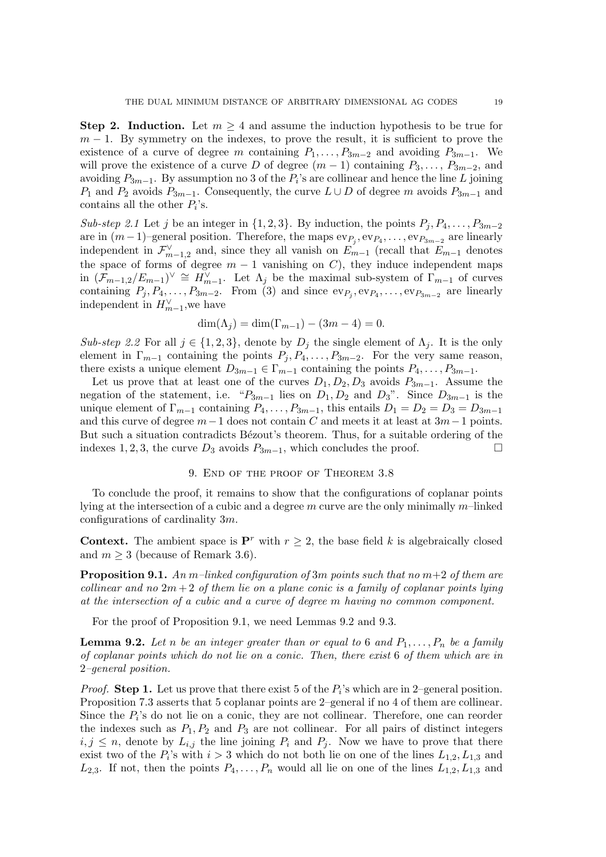Step 2. Induction. Let  $m \geq 4$  and assume the induction hypothesis to be true for  $m-1$ . By symmetry on the indexes, to prove the result, it is sufficient to prove the existence of a curve of degree m containing  $P_1, \ldots, P_{3m-2}$  and avoiding  $P_{3m-1}$ . We will prove the existence of a curve D of degree  $(m-1)$  containing  $P_3, \ldots, P_{3m-2}$ , and avoiding  $P_{3m-1}$ . By assumption no 3 of the  $P_i$ 's are collinear and hence the line L joining  $P_1$  and  $P_2$  avoids  $P_{3m-1}$ . Consequently, the curve  $L \cup D$  of degree m avoids  $P_{3m-1}$  and contains all the other  $P_i$ 's.

Sub-step 2.1 Let j be an integer in  $\{1, 2, 3\}$ . By induction, the points  $P_i, P_4, \ldots, P_{3m-2}$ are in  $(m-1)$ –general position. Therefore, the maps  $ev_{P_j}, ev_{P_4}, \ldots, ev_{P_{3m-2}}$  are linearly independent in  $\mathcal{F}_{m-1,2}^{\vee}$  and, since they all vanish on  $E_{m-1}$  (recall that  $E_{m-1}$  denotes the space of forms of degree  $m-1$  vanishing on C), they induce independent maps in  $(\mathcal{F}_{m-1,2}/E_{m-1})^{\vee} \cong H_{m-1}^{\vee}$ . Let  $\Lambda_j$  be the maximal sub-system of  $\Gamma_{m-1}$  of curves containing  $P_j, P_4, \ldots, P_{3m-2}$ . From (3) and since  $ev_{P_j}, ev_{P_4}, \ldots, ev_{P_{3m-2}}$  are linearly independent in  $H_{m-1}^{\vee}$ , we have

$$
\dim(\Lambda_j) = \dim(\Gamma_{m-1}) - (3m - 4) = 0.
$$

Sub-step 2.2 For all  $j \in \{1, 2, 3\}$ , denote by  $D_j$  the single element of  $\Lambda_j$ . It is the only element in  $\Gamma_{m-1}$  containing the points  $P_j, P_4, \ldots, P_{3m-2}$ . For the very same reason, there exists a unique element  $D_{3m-1} \in \Gamma_{m-1}$  containing the points  $P_4, \ldots, P_{3m-1}$ .

Let us prove that at least one of the curves  $D_1, D_2, D_3$  avoids  $P_{3m-1}$ . Assume the negation of the statement, i.e. " $P_{3m-1}$  lies on  $D_1, D_2$  and  $D_3$ ". Since  $D_{3m-1}$  is the unique element of  $\Gamma_{m-1}$  containing  $P_4, \ldots, P_{3m-1}$ , this entails  $D_1 = D_2 = D_3 = D_{3m-1}$ and this curve of degree  $m-1$  does not contain C and meets it at least at  $3m-1$  points. But such a situation contradicts Bézout's theorem. Thus, for a suitable ordering of the indexes 1, 2, 3, the curve  $D_3$  avoids  $P_{3m-1}$ , which concludes the proof. □

### 9. End of the proof of Theorem 3.8

To conclude the proof, it remains to show that the configurations of coplanar points lying at the intersection of a cubic and a degree  $m$  curve are the only minimally  $m$ -linked configurations of cardinality 3m.

**Context.** The ambient space is  $\mathbf{P}^r$  with  $r \geq 2$ , the base field k is algebraically closed and  $m \geq 3$  (because of Remark 3.6).

**Proposition 9.1.** An m–linked configuration of 3m points such that no  $m+2$  of them are collinear and no  $2m+2$  of them lie on a plane conic is a family of coplanar points lying at the intersection of a cubic and a curve of degree m having no common component.

For the proof of Proposition 9.1, we need Lemmas 9.2 and 9.3.

**Lemma 9.2.** Let n be an integer greater than or equal to 6 and  $P_1, \ldots, P_n$  be a family of coplanar points which do not lie on a conic. Then, there exist 6 of them which are in 2–general position.

*Proof.* Step 1. Let us prove that there exist 5 of the  $P_i$ 's which are in 2-general position. Proposition 7.3 asserts that 5 coplanar points are 2–general if no 4 of them are collinear. Since the  $P_i$ 's do not lie on a conic, they are not collinear. Therefore, one can reorder the indexes such as  $P_1, P_2$  and  $P_3$  are not collinear. For all pairs of distinct integers  $i, j \leq n$ , denote by  $L_{i,j}$  the line joining  $P_i$  and  $P_j$ . Now we have to prove that there exist two of the  $P_i$ 's with  $i > 3$  which do not both lie on one of the lines  $L_{1,2}, L_{1,3}$  and  $L_{2,3}$ . If not, then the points  $P_4, \ldots, P_n$  would all lie on one of the lines  $L_{1,2}, L_{1,3}$  and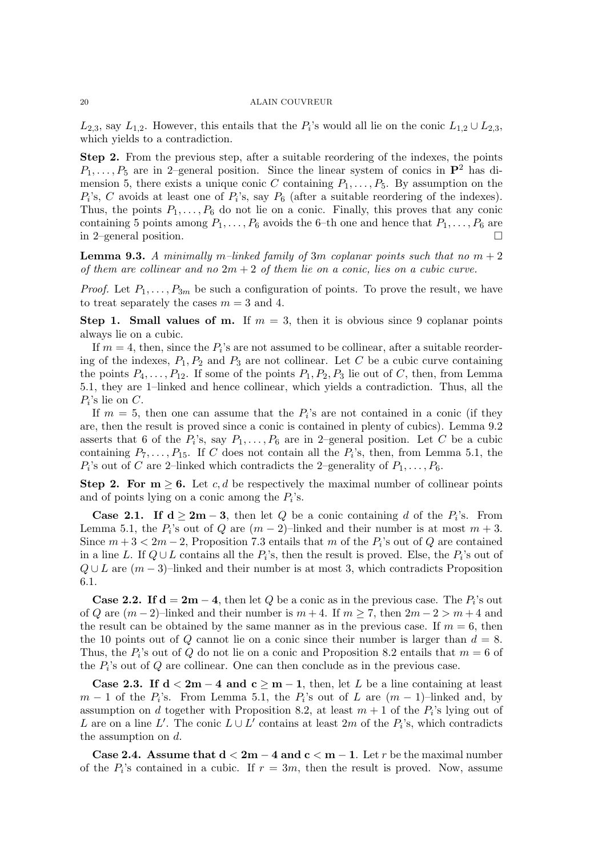$L_{2,3}$ , say  $L_{1,2}$ . However, this entails that the  $P_i$ 's would all lie on the conic  $L_{1,2} \cup L_{2,3}$ , which yields to a contradiction.

Step 2. From the previous step, after a suitable reordering of the indexes, the points  $P_1, \ldots, P_5$  are in 2–general position. Since the linear system of conics in  $\mathbf{P}^2$  has dimension 5, there exists a unique conic C containing  $P_1, \ldots, P_5$ . By assumption on the  $P_i$ 's, C avoids at least one of  $P_i$ 's, say  $P_6$  (after a suitable reordering of the indexes). Thus, the points  $P_1, \ldots, P_6$  do not lie on a conic. Finally, this proves that any conic containing 5 points among  $P_1, \ldots, P_6$  avoids the 6-th one and hence that  $P_1, \ldots, P_6$  are in 2–general position.

**Lemma 9.3.** A minimally m–linked family of 3m coplanar points such that no  $m + 2$ of them are collinear and no  $2m + 2$  of them lie on a conic, lies on a cubic curve.

*Proof.* Let  $P_1, \ldots, P_{3m}$  be such a configuration of points. To prove the result, we have to treat separately the cases  $m = 3$  and 4.

Step 1. Small values of m. If  $m = 3$ , then it is obvious since 9 coplanar points always lie on a cubic.

If  $m = 4$ , then, since the  $P_i$ 's are not assumed to be collinear, after a suitable reordering of the indexes,  $P_1, P_2$  and  $P_3$  are not collinear. Let C be a cubic curve containing the points  $P_4, \ldots, P_{12}$ . If some of the points  $P_1, P_2, P_3$  lie out of C, then, from Lemma 5.1, they are 1–linked and hence collinear, which yields a contradiction. Thus, all the  $P_i$ 's lie on C.

If  $m = 5$ , then one can assume that the  $P_i$ 's are not contained in a conic (if they are, then the result is proved since a conic is contained in plenty of cubics). Lemma 9.2 asserts that 6 of the  $P_i$ 's, say  $P_1, \ldots, P_6$  are in 2-general position. Let C be a cubic containing  $P_7, \ldots, P_{15}$ . If C does not contain all the  $P_i$ 's, then, from Lemma 5.1, the  $P_i$ 's out of C are 2-linked which contradicts the 2-generality of  $P_1, \ldots, P_6$ .

Step 2. For  $m \geq 6$ . Let c, d be respectively the maximal number of collinear points and of points lying on a conic among the  $P_i$ 's.

**Case 2.1.** If  $d \ge 2m - 3$ , then let Q be a conic containing d of the  $P_i$ 's. From Lemma 5.1, the  $P_i$ 's out of Q are  $(m-2)$ –linked and their number is at most  $m+3$ . Since  $m+3 < 2m-2$ , Proposition 7.3 entails that m of the  $P_i$ 's out of Q are contained in a line L. If  $Q \cup L$  contains all the  $P_i$ 's, then the result is proved. Else, the  $P_i$ 's out of  $Q \cup L$  are  $(m-3)$ –linked and their number is at most 3, which contradicts Proposition 6.1.

**Case 2.2.** If  $d = 2m - 4$ , then let Q be a conic as in the previous case. The  $P_i$ 's out of Q are  $(m-2)$ –linked and their number is  $m+4$ . If  $m \geq 7$ , then  $2m-2 > m+4$  and the result can be obtained by the same manner as in the previous case. If  $m = 6$ , then the 10 points out of Q cannot lie on a conic since their number is larger than  $d = 8$ . Thus, the  $P_i$ 's out of Q do not lie on a conic and Proposition 8.2 entails that  $m = 6$  of the  $P_i$ 's out of  $Q$  are collinear. One can then conclude as in the previous case.

Case 2.3. If  $d < 2m - 4$  and  $c \geq m - 1$ , then, let L be a line containing at least  $m-1$  of the  $P_i$ 's. From Lemma 5.1, the  $P_i$ 's out of L are  $(m-1)$ –linked and, by assumption on d together with Proposition 8.2, at least  $m + 1$  of the  $P_i$ 's lying out of L are on a line L'. The conic  $L \cup L^{\tilde{\jmath}}$  contains at least 2m of the  $P_i$ 's, which contradicts the assumption on d.

Case 2.4. Assume that  $d < 2m - 4$  and  $c < m - 1$ . Let r be the maximal number of the  $P_i$ 's contained in a cubic. If  $r = 3m$ , then the result is proved. Now, assume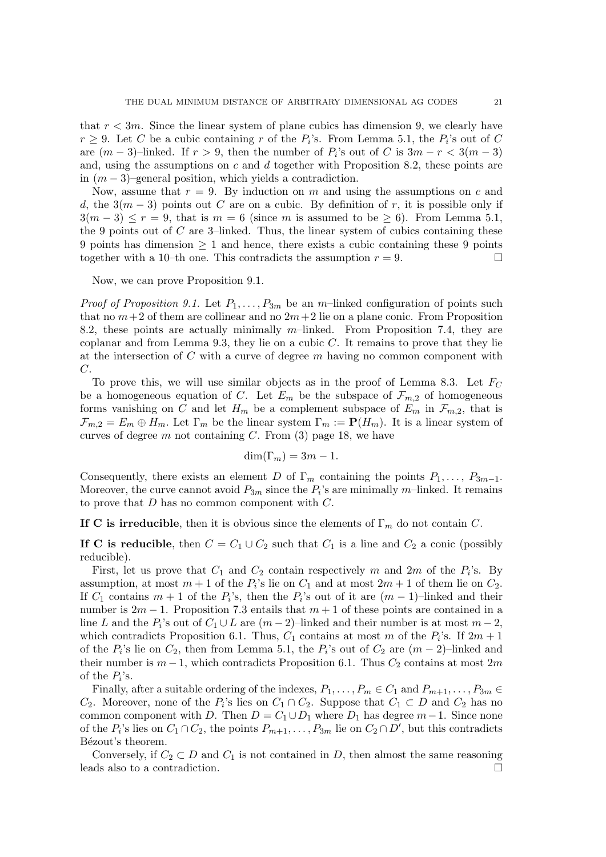that  $r < 3m$ . Since the linear system of plane cubics has dimension 9, we clearly have  $r \geq 9$ . Let C be a cubic containing r of the  $P_i$ 's. From Lemma 5.1, the  $P_i$ 's out of C are  $(m-3)$ –linked. If  $r > 9$ , then the number of  $P_i$ 's out of C is  $3m - r < 3(m-3)$ and, using the assumptions on  $c$  and  $d$  together with Proposition 8.2, these points are in  $(m-3)$ –general position, which yields a contradiction.

Now, assume that  $r = 9$ . By induction on m and using the assumptions on c and d, the  $3(m-3)$  points out C are on a cubic. By definition of r, it is possible only if  $3(m-3) \le r = 9$ , that is  $m = 6$  (since m is assumed to be  $\ge 6$ ). From Lemma 5.1, the 9 points out of  $C$  are 3-linked. Thus, the linear system of cubics containing these 9 points has dimension  $\geq 1$  and hence, there exists a cubic containing these 9 points together with a 10–th one. This contradicts the assumption  $r = 9$ .

#### Now, we can prove Proposition 9.1.

*Proof of Proposition 9.1.* Let  $P_1, \ldots, P_{3m}$  be an m-linked configuration of points such that no  $m+2$  of them are collinear and no  $2m+2$  lie on a plane conic. From Proposition 8.2, these points are actually minimally  $m$ –linked. From Proposition 7.4, they are coplanar and from Lemma 9.3, they lie on a cubic  $C$ . It remains to prove that they lie at the intersection of  $C$  with a curve of degree  $m$  having no common component with C.

To prove this, we will use similar objects as in the proof of Lemma 8.3. Let  $F_C$ be a homogeneous equation of C. Let  $E_m$  be the subspace of  $\mathcal{F}_{m,2}$  of homogeneous forms vanishing on C and let  $H_m$  be a complement subspace of  $E_m$  in  $\mathcal{F}_{m,2}$ , that is  $\mathcal{F}_{m,2} = E_m \oplus H_m$ . Let  $\Gamma_m$  be the linear system  $\Gamma_m := \mathbf{P}(H_m)$ . It is a linear system of curves of degree  $m$  not containing  $C$ . From  $(3)$  page 18, we have

$$
\dim(\Gamma_m) = 3m - 1.
$$

Consequently, there exists an element D of  $\Gamma_m$  containing the points  $P_1, \ldots, P_{3m-1}$ . Moreover, the curve cannot avoid  $P_{3m}$  since the  $P_i$ 's are minimally m-linked. It remains to prove that  $D$  has no common component with  $C$ .

If C is irreducible, then it is obvious since the elements of  $\Gamma_m$  do not contain C.

If C is reducible, then  $C = C_1 \cup C_2$  such that  $C_1$  is a line and  $C_2$  a conic (possibly reducible).

First, let us prove that  $C_1$  and  $C_2$  contain respectively m and  $2m$  of the  $P_i$ 's. By assumption, at most  $m + 1$  of the  $P_i$ 's lie on  $C_1$  and at most  $2m + 1$  of them lie on  $C_2$ . If  $C_1$  contains  $m + 1$  of the  $P_i$ 's, then the  $P_i$ 's out of it are  $(m - 1)$ –linked and their number is  $2m - 1$ . Proposition 7.3 entails that  $m + 1$  of these points are contained in a line L and the  $P_i$ 's out of  $C_1 \cup L$  are  $(m-2)$ –linked and their number is at most  $m-2$ , which contradicts Proposition 6.1. Thus,  $C_1$  contains at most m of the  $P_i$ 's. If  $2m+1$ of the  $P_i$ 's lie on  $C_2$ , then from Lemma 5.1, the  $P_i$ 's out of  $C_2$  are  $(m-2)$ -linked and their number is  $m-1$ , which contradicts Proposition 6.1. Thus  $C_2$  contains at most 2m of the  $P_i$ 's.

Finally, after a suitable ordering of the indexes,  $P_1, \ldots, P_m \in C_1$  and  $P_{m+1}, \ldots, P_{3m} \in$  $C_2$ . Moreover, none of the  $P_i$ 's lies on  $C_1 \cap C_2$ . Suppose that  $C_1 \subset D$  and  $C_2$  has no common component with D. Then  $D = C_1 \cup D_1$  where  $D_1$  has degree  $m-1$ . Since none of the  $P_i$ 's lies on  $C_1 \cap C_2$ , the points  $P_{m+1}, \ldots, P_{3m}$  lie on  $C_2 \cap D'$ , but this contradicts Bézout's theorem.

Conversely, if  $C_2 \subset D$  and  $C_1$  is not contained in D, then almost the same reasoning leads also to a contradiction.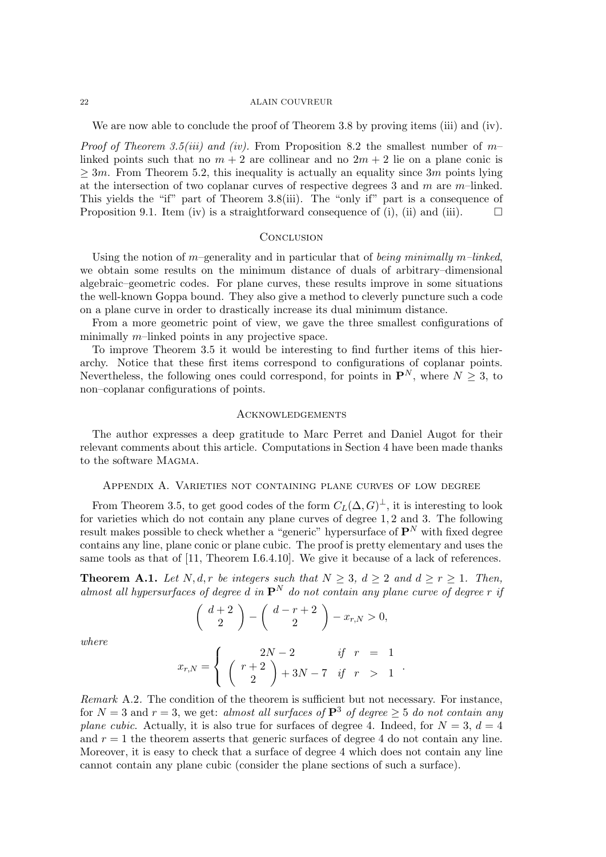We are now able to conclude the proof of Theorem 3.8 by proving items (iii) and (iv).

*Proof of Theorem 3.5(iii) and (iv).* From Proposition 8.2 the smallest number of  $m$ linked points such that no  $m + 2$  are collinear and no  $2m + 2$  lie on a plane conic is  $\geq 3m$ . From Theorem 5.2, this inequality is actually an equality since 3m points lying at the intersection of two coplanar curves of respective degrees 3 and m are m–linked. This yields the "if" part of Theorem 3.8(iii). The "only if" part is a consequence of Proposition 9.1. Item (iv) is a straightforward consequence of (i), (ii) and (iii).  $\square$ 

# **CONCLUSION**

Using the notion of m–generality and in particular that of being minimally m–linked, we obtain some results on the minimum distance of duals of arbitrary–dimensional algebraic–geometric codes. For plane curves, these results improve in some situations the well-known Goppa bound. They also give a method to cleverly puncture such a code on a plane curve in order to drastically increase its dual minimum distance.

From a more geometric point of view, we gave the three smallest configurations of minimally  $m$ –linked points in any projective space.

To improve Theorem 3.5 it would be interesting to find further items of this hierarchy. Notice that these first items correspond to configurations of coplanar points. Nevertheless, the following ones could correspond, for points in  $\mathbf{P}^{N}$ , where  $N \geq 3$ , to non–coplanar configurations of points.

### **ACKNOWLEDGEMENTS**

The author expresses a deep gratitude to Marc Perret and Daniel Augot for their relevant comments about this article. Computations in Section 4 have been made thanks to the software Magma.

# Appendix A. Varieties not containing plane curves of low degree

From Theorem 3.5, to get good codes of the form  $C_L(\Delta, G)^{\perp}$ , it is interesting to look for varieties which do not contain any plane curves of degree 1, 2 and 3. The following result makes possible to check whether a "generic" hypersurface of  $\mathbf{P}^{N}$  with fixed degree contains any line, plane conic or plane cubic. The proof is pretty elementary and uses the same tools as that of [11, Theorem I.6.4.10]. We give it because of a lack of references.

**Theorem A.1.** Let N, d, r be integers such that  $N \geq 3$ ,  $d \geq 2$  and  $d \geq r \geq 1$ . Then, almost all hypersurfaces of degree d in  $\mathbf{P}^{N}$  do not contain any plane curve of degree r if

$$
\left(\begin{array}{c} d+2\\2 \end{array}\right) - \left(\begin{array}{c} d-r+2\\2 \end{array}\right) - x_{r,N} > 0,
$$

where

$$
x_{r,N} = \begin{cases} 2N-2 & \text{if } r = 1 \\ \begin{pmatrix} r+2 \\ 2 \end{pmatrix} + 3N - 7 & \text{if } r > 1 \end{cases}.
$$

Remark A.2. The condition of the theorem is sufficient but not necessary. For instance, for  $N = 3$  and  $r = 3$ , we get: almost all surfaces of  $\mathbf{P}^3$  of degree  $> 5$  do not contain any plane cubic. Actually, it is also true for surfaces of degree 4. Indeed, for  $N = 3$ ,  $d = 4$ and  $r = 1$  the theorem asserts that generic surfaces of degree 4 do not contain any line. Moreover, it is easy to check that a surface of degree 4 which does not contain any line cannot contain any plane cubic (consider the plane sections of such a surface).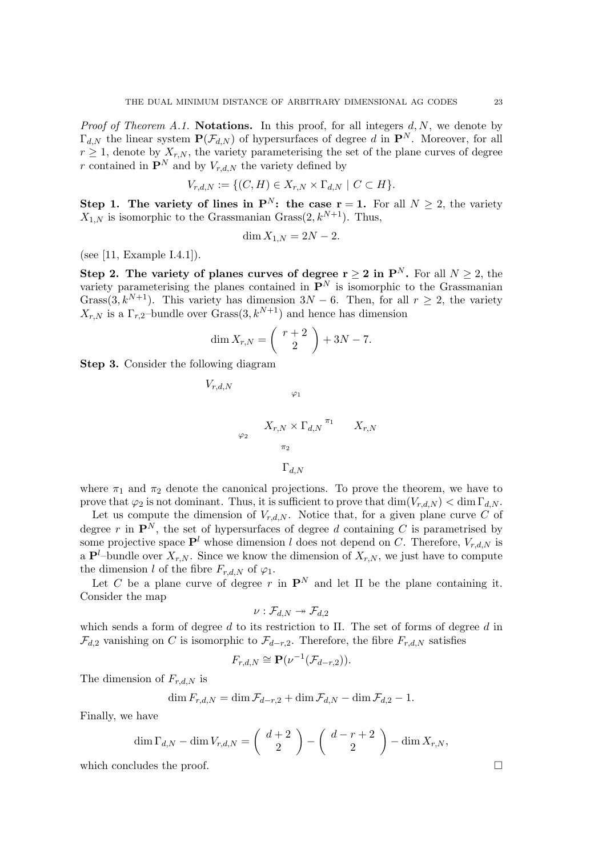*Proof of Theorem A.1.* Notations. In this proof, for all integers  $d, N$ , we denote by  $\Gamma_{d,N}$  the linear system  $\mathbf{P}(\mathcal{F}_{d,N})$  of hypersurfaces of degree d in  $\mathbf{P}^{N}$ . Moreover, for all  $r \geq 1$ , denote by  $X_{r,N}$ , the variety parameterising the set of the plane curves of degree r contained in  $\mathbf{P}^{N}$  and by  $V_{r,d,N}$  the variety defined by

$$
V_{r,d,N} := \{ (C, H) \in X_{r,N} \times \Gamma_{d,N} \mid C \subset H \}.
$$

Step 1. The variety of lines in  $\mathbf{P}^{N}$ : the case  $\mathbf{r} = 1$ . For all  $N \geq 2$ , the variety  $X_{1,N}$  is isomorphic to the Grassmanian Grass $(2, k^{N+1})$ . Thus,

$$
\dim X_{1,N} = 2N - 2.
$$

(see [11, Example I.4.1]).

Step 2. The variety of planes curves of degree  $r \geq 2$  in  $P^N$ . For all  $N \geq 2$ , the variety parameterising the planes contained in  $\mathbf{P}^{N}$  is isomorphic to the Grassmanian Grass(3,  $k^{N+1}$ ). This variety has dimension  $3N-6$ . Then, for all  $r \geq 2$ , the variety  $X_{r,N}$  is a  $\Gamma_{r,2}$ -bundle over Grass $(3, k^{N+1})$  and hence has dimension

$$
\dim X_{r,N} = \binom{r+2}{2} + 3N - 7.
$$

Step 3. Consider the following diagram

$$
V_{r,d,N}
$$
  

$$
\varphi_1
$$
  

$$
X_{r,N} \times \Gamma_{d,N} \stackrel{\pi_1}{\pi_2} X_{r,N}
$$
  

$$
\Gamma_{d,N}
$$

where  $\pi_1$  and  $\pi_2$  denote the canonical projections. To prove the theorem, we have to prove that  $\varphi_2$  is not dominant. Thus, it is sufficient to prove that  $\dim(V_{r,d,N}) < \dim \Gamma_{d,N}$ .

Let us compute the dimension of  $V_{r,d,N}$ . Notice that, for a given plane curve C of degree r in  $\mathbf{P}^{N}$ , the set of hypersurfaces of degree d containing C is parametrised by some projective space  $\mathbf{P}^l$  whose dimension l does not depend on C. Therefore,  $V_{r,d,N}$  is a  $\mathbf{P}^l$ -bundle over  $X_{r,N}$ . Since we know the dimension of  $X_{r,N}$ , we just have to compute the dimension l of the fibre  $F_{r,d,N}$  of  $\varphi_1$ .

Let C be a plane curve of degree r in  $\mathbf{P}^N$  and let  $\Pi$  be the plane containing it. Consider the map

$$
\nu: \mathcal{F}_{d,N} \twoheadrightarrow \mathcal{F}_{d,2}
$$

which sends a form of degree d to its restriction to  $\Pi$ . The set of forms of degree d in  $\mathcal{F}_{d,2}$  vanishing on C is isomorphic to  $\mathcal{F}_{d-r,2}$ . Therefore, the fibre  $F_{r,d,N}$  satisfies

$$
F_{r,d,N} \cong \mathbf{P}(\nu^{-1}(\mathcal{F}_{d-r,2})).
$$

The dimension of  $F_{r,d,N}$  is

$$
\dim F_{r,d,N} = \dim \mathcal{F}_{d-r,2} + \dim \mathcal{F}_{d,N} - \dim \mathcal{F}_{d,2} - 1.
$$

Finally, we have

$$
\dim \Gamma_{d,N} - \dim V_{r,d,N} = \begin{pmatrix} d+2 \\ 2 \end{pmatrix} - \begin{pmatrix} d-r+2 \\ 2 \end{pmatrix} - \dim X_{r,N},
$$

which concludes the proof.  $\Box$ 

$$
\Gamma
$$